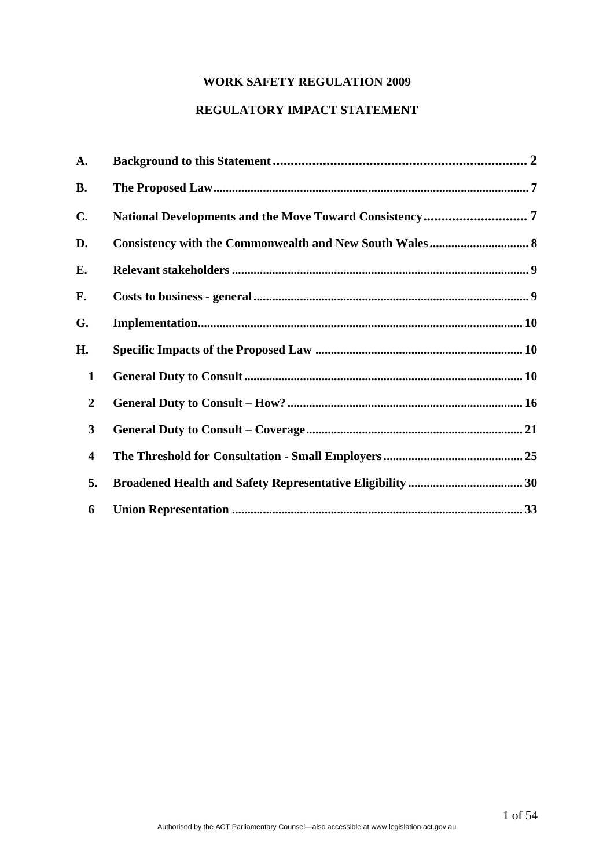# **WORK SAFETY REGULATION 2009**

# **REGULATORY IMPACT STATEMENT**

| A.                      |  |
|-------------------------|--|
| <b>B.</b>               |  |
| C.                      |  |
| D.                      |  |
| Е.                      |  |
| F.                      |  |
| G.                      |  |
| Н.                      |  |
| $\mathbf{1}$            |  |
| $\overline{2}$          |  |
| 3                       |  |
| $\overline{\mathbf{4}}$ |  |
| 5.                      |  |
| 6                       |  |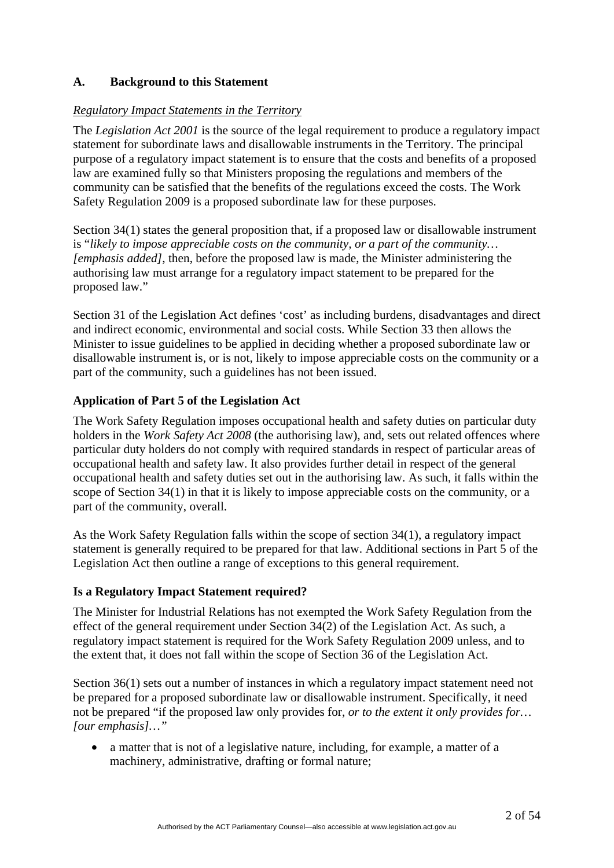# <span id="page-1-0"></span>**A. Background to this Statement**

#### *Regulatory Impact Statements in the Territory*

The *Legislation Act 2001* is the source of the legal requirement to produce a regulatory impact statement for subordinate laws and disallowable instruments in the Territory. The principal purpose of a regulatory impact statement is to ensure that the costs and benefits of a proposed law are examined fully so that Ministers proposing the regulations and members of the community can be satisfied that the benefits of the regulations exceed the costs. The Work Safety Regulation 2009 is a proposed subordinate law for these purposes.

Section 34(1) states the general proposition that, if a proposed law or disallowable instrument is "*likely to impose appreciable costs on the community, or a part of the community… [emphasis added]*, then, before the proposed law is made, the Minister administering the authorising law must arrange for a regulatory impact statement to be prepared for the proposed law."

Section 31 of the Legislation Act defines 'cost' as including burdens, disadvantages and direct and indirect economic, environmental and social costs. While Section 33 then allows the Minister to issue guidelines to be applied in deciding whether a proposed subordinate law or disallowable instrument is, or is not, likely to impose appreciable costs on the community or a part of the community, such a guidelines has not been issued.

#### **Application of Part 5 of the Legislation Act**

The Work Safety Regulation imposes occupational health and safety duties on particular duty holders in the *Work Safety Act 2008* (the authorising law), and, sets out related offences where particular duty holders do not comply with required standards in respect of particular areas of occupational health and safety law. It also provides further detail in respect of the general occupational health and safety duties set out in the authorising law. As such, it falls within the scope of Section 34(1) in that it is likely to impose appreciable costs on the community, or a part of the community, overall.

As the Work Safety Regulation falls within the scope of section 34(1), a regulatory impact statement is generally required to be prepared for that law. Additional sections in Part 5 of the Legislation Act then outline a range of exceptions to this general requirement.

#### **Is a Regulatory Impact Statement required?**

The Minister for Industrial Relations has not exempted the Work Safety Regulation from the effect of the general requirement under Section 34(2) of the Legislation Act. As such, a regulatory impact statement is required for the Work Safety Regulation 2009 unless, and to the extent that, it does not fall within the scope of Section 36 of the Legislation Act.

Section 36(1) sets out a number of instances in which a regulatory impact statement need not be prepared for a proposed subordinate law or disallowable instrument. Specifically, it need not be prepared "if the proposed law only provides for, *or to the extent it only provides for… [our emphasis]…"*

• a matter that is not of a legislative nature, including, for example, a matter of a machinery, administrative, drafting or formal nature;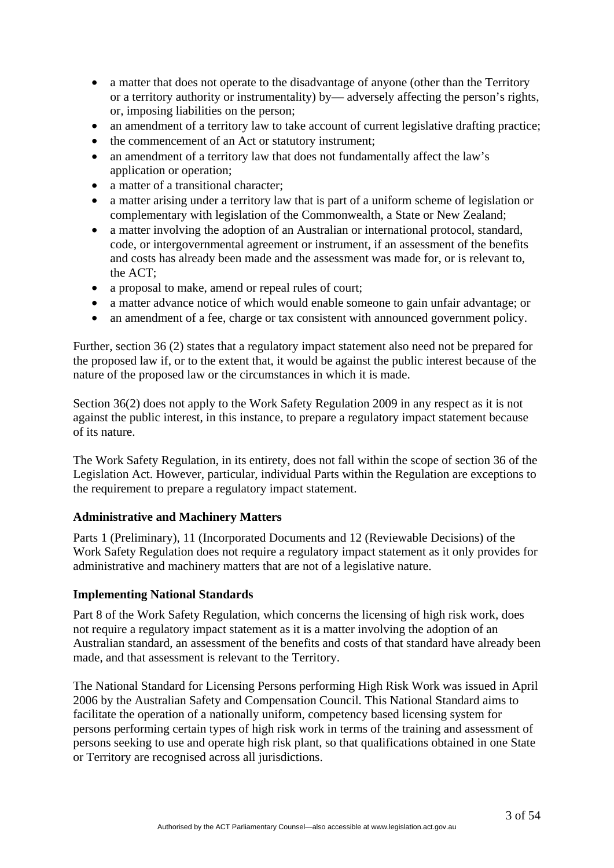- a matter that does not operate to the disadvantage of anyone (other than the Territory or a territory authority or instrumentality) by— adversely affecting the person's rights, or, imposing liabilities on the person;
- an amendment of a territory law to take account of current legislative drafting practice;
- the commencement of an Act or statutory instrument;
- an amendment of a territory law that does not fundamentally affect the law's application or operation;
- a matter of a transitional character:
- a matter arising under a territory law that is part of a uniform scheme of legislation or complementary with legislation of the Commonwealth, a State or New Zealand;
- a matter involving the adoption of an Australian or international protocol, standard, code, or intergovernmental agreement or instrument, if an assessment of the benefits and costs has already been made and the assessment was made for, or is relevant to, the ACT;
- a proposal to make, amend or repeal rules of court;
- a matter advance notice of which would enable someone to gain unfair advantage; or
- an amendment of a fee, charge or tax consistent with announced government policy.

Further, section 36 (2) states that a regulatory impact statement also need not be prepared for the proposed law if, or to the extent that, it would be against the public interest because of the nature of the proposed law or the circumstances in which it is made.

Section 36(2) does not apply to the Work Safety Regulation 2009 in any respect as it is not against the public interest, in this instance, to prepare a regulatory impact statement because of its nature.

The Work Safety Regulation, in its entirety, does not fall within the scope of section 36 of the Legislation Act. However, particular, individual Parts within the Regulation are exceptions to the requirement to prepare a regulatory impact statement.

# **Administrative and Machinery Matters**

Parts 1 (Preliminary), 11 (Incorporated Documents and 12 (Reviewable Decisions) of the Work Safety Regulation does not require a regulatory impact statement as it only provides for administrative and machinery matters that are not of a legislative nature.

#### **Implementing National Standards**

Part 8 of the Work Safety Regulation, which concerns the licensing of high risk work, does not require a regulatory impact statement as it is a matter involving the adoption of an Australian standard, an assessment of the benefits and costs of that standard have already been made, and that assessment is relevant to the Territory.

The National Standard for Licensing Persons performing High Risk Work was issued in April 2006 by the Australian Safety and Compensation Council. This National Standard aims to facilitate the operation of a nationally uniform, competency based licensing system for persons performing certain types of high risk work in terms of the training and assessment of persons seeking to use and operate high risk plant, so that qualifications obtained in one State or Territory are recognised across all jurisdictions.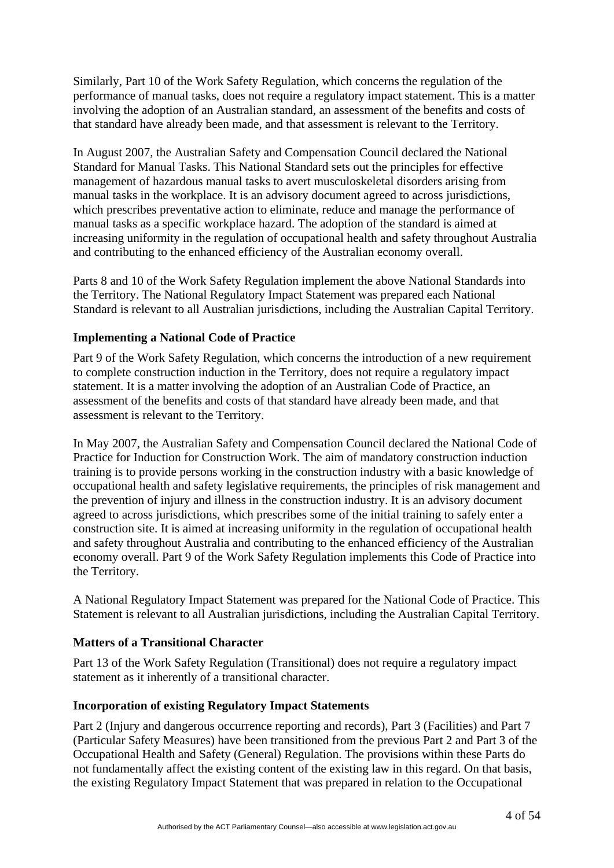Similarly, Part 10 of the Work Safety Regulation, which concerns the regulation of the performance of manual tasks, does not require a regulatory impact statement. This is a matter involving the adoption of an Australian standard, an assessment of the benefits and costs of that standard have already been made, and that assessment is relevant to the Territory.

In August 2007, the Australian Safety and Compensation Council declared the National Standard for Manual Tasks. This National Standard sets out the principles for effective management of hazardous manual tasks to avert musculoskeletal disorders arising from manual tasks in the workplace. It is an advisory document agreed to across jurisdictions, which prescribes preventative action to eliminate, reduce and manage the performance of manual tasks as a specific workplace hazard. The adoption of the standard is aimed at increasing uniformity in the regulation of occupational health and safety throughout Australia and contributing to the enhanced efficiency of the Australian economy overall.

Parts 8 and 10 of the Work Safety Regulation implement the above National Standards into the Territory. The National Regulatory Impact Statement was prepared each National Standard is relevant to all Australian jurisdictions, including the Australian Capital Territory.

# **Implementing a National Code of Practice**

Part 9 of the Work Safety Regulation, which concerns the introduction of a new requirement to complete construction induction in the Territory, does not require a regulatory impact statement. It is a matter involving the adoption of an Australian Code of Practice, an assessment of the benefits and costs of that standard have already been made, and that assessment is relevant to the Territory.

In May 2007, the Australian Safety and Compensation Council declared the National Code of Practice for Induction for Construction Work. The aim of mandatory construction induction training is to provide persons working in the construction industry with a basic knowledge of occupational health and safety legislative requirements, the principles of risk management and the prevention of injury and illness in the construction industry. It is an advisory document agreed to across jurisdictions, which prescribes some of the initial training to safely enter a construction site. It is aimed at increasing uniformity in the regulation of occupational health and safety throughout Australia and contributing to the enhanced efficiency of the Australian economy overall. Part 9 of the Work Safety Regulation implements this Code of Practice into the Territory.

A National Regulatory Impact Statement was prepared for the National Code of Practice. This Statement is relevant to all Australian jurisdictions, including the Australian Capital Territory.

#### **Matters of a Transitional Character**

Part 13 of the Work Safety Regulation (Transitional) does not require a regulatory impact statement as it inherently of a transitional character.

#### **Incorporation of existing Regulatory Impact Statements**

Part 2 (Injury and dangerous occurrence reporting and records), Part 3 (Facilities) and Part 7 (Particular Safety Measures) have been transitioned from the previous Part 2 and Part 3 of the Occupational Health and Safety (General) Regulation. The provisions within these Parts do not fundamentally affect the existing content of the existing law in this regard. On that basis, the existing Regulatory Impact Statement that was prepared in relation to the Occupational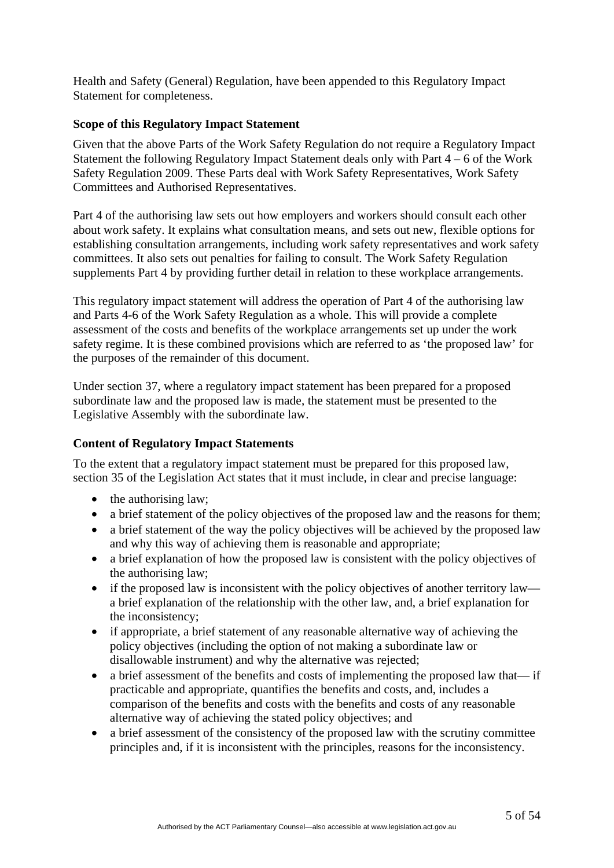Health and Safety (General) Regulation, have been appended to this Regulatory Impact Statement for completeness.

#### **Scope of this Regulatory Impact Statement**

Given that the above Parts of the Work Safety Regulation do not require a Regulatory Impact Statement the following Regulatory Impact Statement deals only with Part 4 – 6 of the Work Safety Regulation 2009. These Parts deal with Work Safety Representatives, Work Safety Committees and Authorised Representatives.

Part 4 of the authorising law sets out how employers and workers should consult each other about work safety. It explains what consultation means, and sets out new, flexible options for establishing consultation arrangements, including work safety representatives and work safety committees. It also sets out penalties for failing to consult. The Work Safety Regulation supplements Part 4 by providing further detail in relation to these workplace arrangements.

This regulatory impact statement will address the operation of Part 4 of the authorising law and Parts 4-6 of the Work Safety Regulation as a whole. This will provide a complete assessment of the costs and benefits of the workplace arrangements set up under the work safety regime. It is these combined provisions which are referred to as 'the proposed law' for the purposes of the remainder of this document.

Under section 37, where a regulatory impact statement has been prepared for a proposed subordinate law and the proposed law is made, the statement must be presented to the Legislative Assembly with the subordinate law.

# **Content of Regulatory Impact Statements**

To the extent that a regulatory impact statement must be prepared for this proposed law, section 35 of the Legislation Act states that it must include, in clear and precise language:

- the authorising law;
- a brief statement of the policy objectives of the proposed law and the reasons for them;
- a brief statement of the way the policy objectives will be achieved by the proposed law and why this way of achieving them is reasonable and appropriate;
- a brief explanation of how the proposed law is consistent with the policy objectives of the authorising law;
- if the proposed law is inconsistent with the policy objectives of another territory law a brief explanation of the relationship with the other law, and, a brief explanation for the inconsistency;
- if appropriate, a brief statement of any reasonable alternative way of achieving the policy objectives (including the option of not making a subordinate law or disallowable instrument) and why the alternative was rejected;
- a brief assessment of the benefits and costs of implementing the proposed law that— if practicable and appropriate, quantifies the benefits and costs, and, includes a comparison of the benefits and costs with the benefits and costs of any reasonable alternative way of achieving the stated policy objectives; and
- a brief assessment of the consistency of the proposed law with the scrutiny committee principles and, if it is inconsistent with the principles, reasons for the inconsistency.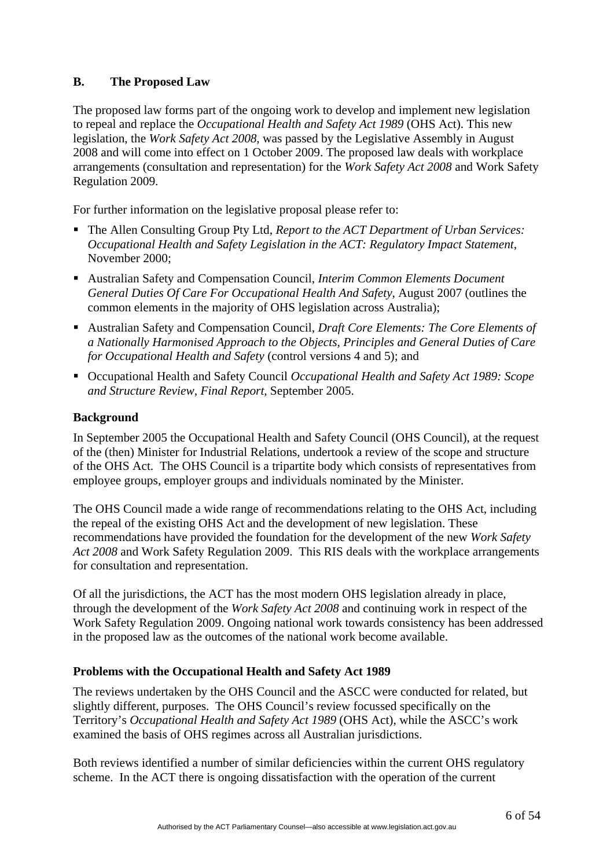# **B. The Proposed Law**

The proposed law forms part of the ongoing work to develop and implement new legislation to repeal and replace the *Occupational Health and Safety Act 1989* (OHS Act). This new legislation, the *Work Safety Act 2008*, was passed by the Legislative Assembly in August 2008 and will come into effect on 1 October 2009. The proposed law deals with workplace arrangements (consultation and representation) for the *Work Safety Act 2008* and Work Safety Regulation 2009.

For further information on the legislative proposal please refer to:

- The Allen Consulting Group Pty Ltd, *Report to the ACT Department of Urban Services: Occupational Health and Safety Legislation in the ACT: Regulatory Impact Statement*, November 2000;
- Australian Safety and Compensation Council, *Interim Common Elements Document General Duties Of Care For Occupational Health And Safety*, August 2007 (outlines the common elements in the majority of OHS legislation across Australia);
- Australian Safety and Compensation Council, *Draft Core Elements: The Core Elements of a Nationally Harmonised Approach to the Objects, Principles and General Duties of Care for Occupational Health and Safety* (control versions 4 and 5); and
- Occupational Health and Safety Council *Occupational Health and Safety Act 1989: Scope and Structure Review, Final Report,* September 2005.

#### **Background**

In September 2005 the Occupational Health and Safety Council (OHS Council), at the request of the (then) Minister for Industrial Relations, undertook a review of the scope and structure of the OHS Act. The OHS Council is a tripartite body which consists of representatives from employee groups, employer groups and individuals nominated by the Minister.

The OHS Council made a wide range of recommendations relating to the OHS Act, including the repeal of the existing OHS Act and the development of new legislation. These recommendations have provided the foundation for the development of the new *Work Safety Act 2008* and Work Safety Regulation 2009. This RIS deals with the workplace arrangements for consultation and representation.

Of all the jurisdictions, the ACT has the most modern OHS legislation already in place, through the development of the *Work Safety Act 2008* and continuing work in respect of the Work Safety Regulation 2009. Ongoing national work towards consistency has been addressed in the proposed law as the outcomes of the national work become available.

# **Problems with the Occupational Health and Safety Act 1989**

The reviews undertaken by the OHS Council and the ASCC were conducted for related, but slightly different, purposes. The OHS Council's review focussed specifically on the Territory's *Occupational Health and Safety Act 1989* (OHS Act), while the ASCC's work examined the basis of OHS regimes across all Australian jurisdictions.

Both reviews identified a number of similar deficiencies within the current OHS regulatory scheme. In the ACT there is ongoing dissatisfaction with the operation of the current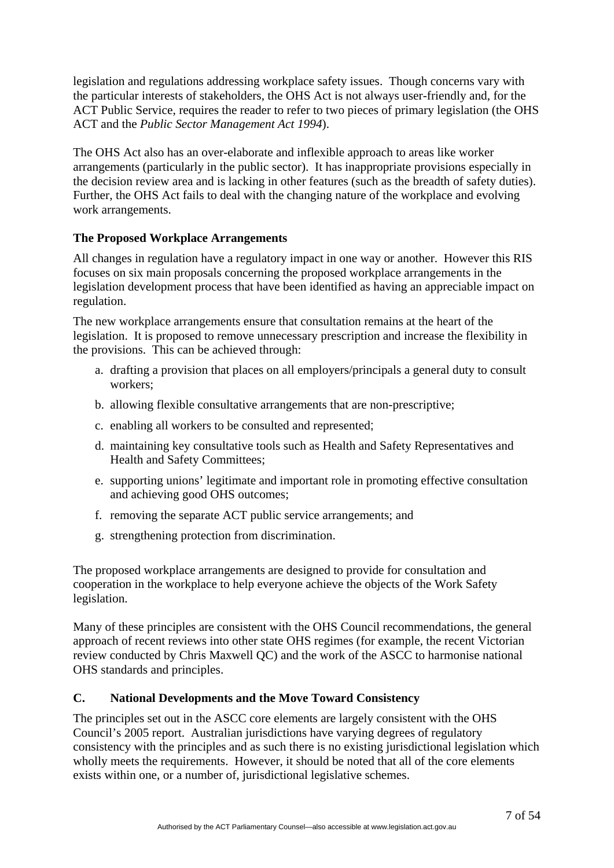<span id="page-6-0"></span>legislation and regulations addressing workplace safety issues. Though concerns vary with the particular interests of stakeholders, the OHS Act is not always user-friendly and, for the ACT Public Service, requires the reader to refer to two pieces of primary legislation (the OHS ACT and the *Public Sector Management Act 1994*).

The OHS Act also has an over-elaborate and inflexible approach to areas like worker arrangements (particularly in the public sector). It has inappropriate provisions especially in the decision review area and is lacking in other features (such as the breadth of safety duties). Further, the OHS Act fails to deal with the changing nature of the workplace and evolving work arrangements.

# **The Proposed Workplace Arrangements**

All changes in regulation have a regulatory impact in one way or another. However this RIS focuses on six main proposals concerning the proposed workplace arrangements in the legislation development process that have been identified as having an appreciable impact on regulation.

The new workplace arrangements ensure that consultation remains at the heart of the legislation. It is proposed to remove unnecessary prescription and increase the flexibility in the provisions. This can be achieved through:

- a. drafting a provision that places on all employers/principals a general duty to consult workers;
- b. allowing flexible consultative arrangements that are non-prescriptive;
- c. enabling all workers to be consulted and represented;
- d. maintaining key consultative tools such as Health and Safety Representatives and Health and Safety Committees;
- e. supporting unions' legitimate and important role in promoting effective consultation and achieving good OHS outcomes;
- f. removing the separate ACT public service arrangements; and
- g. strengthening protection from discrimination.

The proposed workplace arrangements are designed to provide for consultation and cooperation in the workplace to help everyone achieve the objects of the Work Safety legislation.

Many of these principles are consistent with the OHS Council recommendations, the general approach of recent reviews into other state OHS regimes (for example, the recent Victorian review conducted by Chris Maxwell QC) and the work of the ASCC to harmonise national OHS standards and principles.

# **C. National Developments and the Move Toward Consistency**

The principles set out in the ASCC core elements are largely consistent with the OHS Council's 2005 report. Australian jurisdictions have varying degrees of regulatory consistency with the principles and as such there is no existing jurisdictional legislation which wholly meets the requirements. However, it should be noted that all of the core elements exists within one, or a number of, jurisdictional legislative schemes.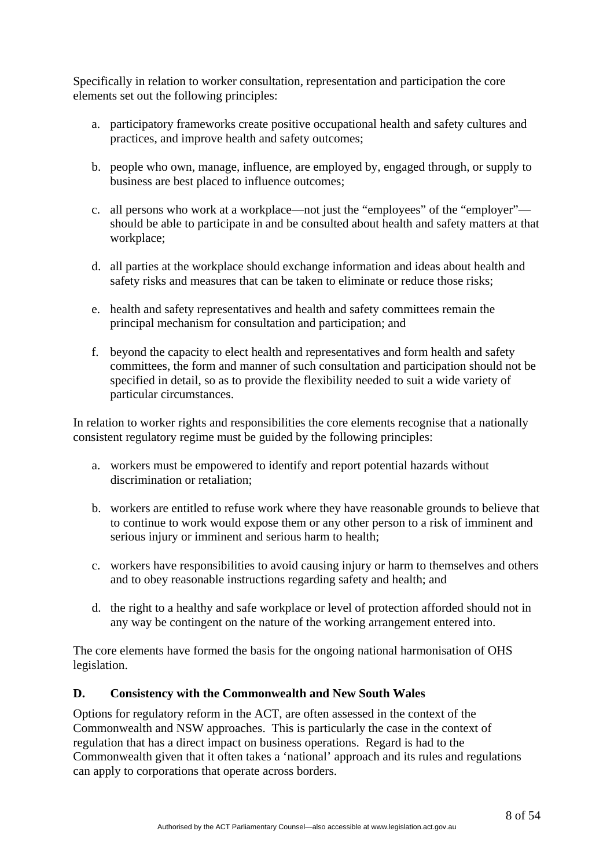<span id="page-7-0"></span>Specifically in relation to worker consultation, representation and participation the core elements set out the following principles:

- a. participatory frameworks create positive occupational health and safety cultures and practices, and improve health and safety outcomes;
- b. people who own, manage, influence, are employed by, engaged through, or supply to business are best placed to influence outcomes;
- c. all persons who work at a workplace—not just the "employees" of the "employer" should be able to participate in and be consulted about health and safety matters at that workplace;
- d. all parties at the workplace should exchange information and ideas about health and safety risks and measures that can be taken to eliminate or reduce those risks;
- e. health and safety representatives and health and safety committees remain the principal mechanism for consultation and participation; and
- f. beyond the capacity to elect health and representatives and form health and safety committees, the form and manner of such consultation and participation should not be specified in detail, so as to provide the flexibility needed to suit a wide variety of particular circumstances.

In relation to worker rights and responsibilities the core elements recognise that a nationally consistent regulatory regime must be guided by the following principles:

- a. workers must be empowered to identify and report potential hazards without discrimination or retaliation;
- b. workers are entitled to refuse work where they have reasonable grounds to believe that to continue to work would expose them or any other person to a risk of imminent and serious injury or imminent and serious harm to health;
- c. workers have responsibilities to avoid causing injury or harm to themselves and others and to obey reasonable instructions regarding safety and health; and
- d. the right to a healthy and safe workplace or level of protection afforded should not in any way be contingent on the nature of the working arrangement entered into.

The core elements have formed the basis for the ongoing national harmonisation of OHS legislation.

# **D. Consistency with the Commonwealth and New South Wales**

Options for regulatory reform in the ACT, are often assessed in the context of the Commonwealth and NSW approaches. This is particularly the case in the context of regulation that has a direct impact on business operations. Regard is had to the Commonwealth given that it often takes a 'national' approach and its rules and regulations can apply to corporations that operate across borders.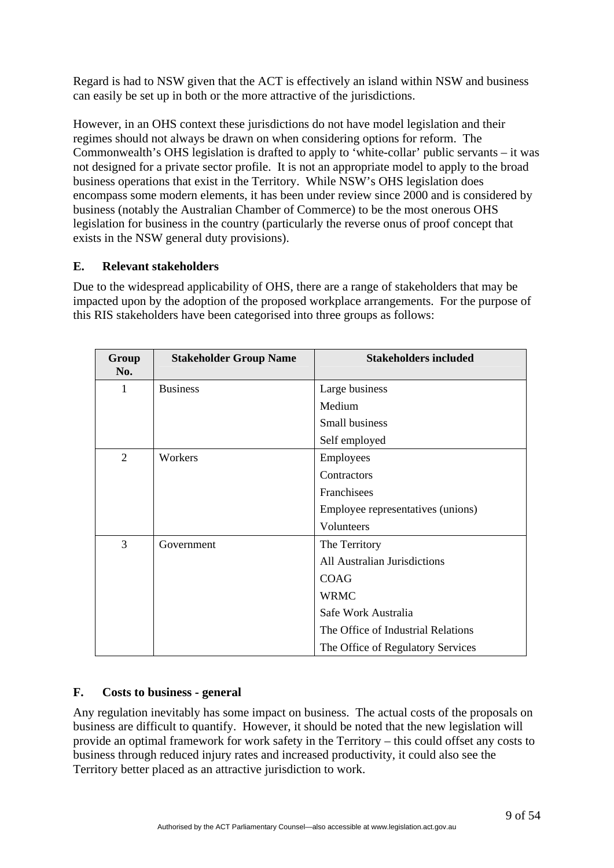<span id="page-8-0"></span>Regard is had to NSW given that the ACT is effectively an island within NSW and business can easily be set up in both or the more attractive of the jurisdictions.

However, in an OHS context these jurisdictions do not have model legislation and their regimes should not always be drawn on when considering options for reform. The Commonwealth's OHS legislation is drafted to apply to 'white-collar' public servants – it was not designed for a private sector profile. It is not an appropriate model to apply to the broad business operations that exist in the Territory. While NSW's OHS legislation does encompass some modern elements, it has been under review since 2000 and is considered by business (notably the Australian Chamber of Commerce) to be the most onerous OHS legislation for business in the country (particularly the reverse onus of proof concept that exists in the NSW general duty provisions).

#### **E. Relevant stakeholders**

Due to the widespread applicability of OHS, there are a range of stakeholders that may be impacted upon by the adoption of the proposed workplace arrangements. For the purpose of this RIS stakeholders have been categorised into three groups as follows:

| Group<br>No. | <b>Stakeholder Group Name</b> | <b>Stakeholders included</b>       |
|--------------|-------------------------------|------------------------------------|
| 1            | <b>Business</b>               | Large business                     |
|              |                               | Medium                             |
|              |                               | Small business                     |
|              |                               | Self employed                      |
| 2            | Workers                       | Employees                          |
|              |                               | Contractors                        |
|              |                               | Franchisees                        |
|              |                               | Employee representatives (unions)  |
|              |                               | Volunteers                         |
| 3            | Government                    | The Territory                      |
|              |                               | All Australian Jurisdictions       |
|              |                               | <b>COAG</b>                        |
|              |                               | <b>WRMC</b>                        |
|              |                               | Safe Work Australia                |
|              |                               | The Office of Industrial Relations |
|              |                               | The Office of Regulatory Services  |

# **F. Costs to business - general**

Any regulation inevitably has some impact on business. The actual costs of the proposals on business are difficult to quantify. However, it should be noted that the new legislation will provide an optimal framework for work safety in the Territory – this could offset any costs to business through reduced injury rates and increased productivity, it could also see the Territory better placed as an attractive jurisdiction to work.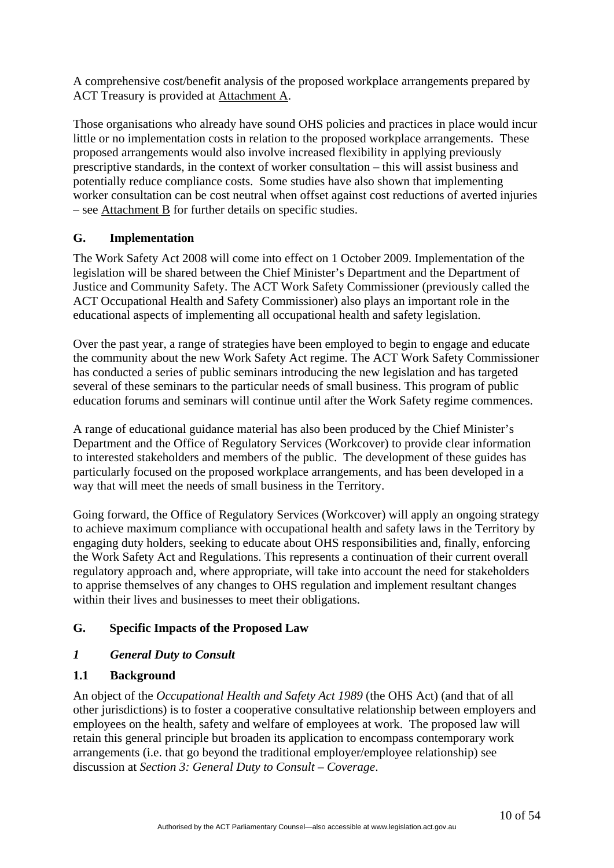<span id="page-9-0"></span>A comprehensive cost/benefit analysis of the proposed workplace arrangements prepared by ACT Treasury is provided at Attachment A.

Those organisations who already have sound OHS policies and practices in place would incur little or no implementation costs in relation to the proposed workplace arrangements. These proposed arrangements would also involve increased flexibility in applying previously prescriptive standards, in the context of worker consultation – this will assist business and potentially reduce compliance costs. Some studies have also shown that implementing worker consultation can be cost neutral when offset against cost reductions of averted injuries – see Attachment B for further details on specific studies.

# **G. Implementation**

The Work Safety Act 2008 will come into effect on 1 October 2009. Implementation of the legislation will be shared between the Chief Minister's Department and the Department of Justice and Community Safety. The ACT Work Safety Commissioner (previously called the ACT Occupational Health and Safety Commissioner) also plays an important role in the educational aspects of implementing all occupational health and safety legislation.

Over the past year, a range of strategies have been employed to begin to engage and educate the community about the new Work Safety Act regime. The ACT Work Safety Commissioner has conducted a series of public seminars introducing the new legislation and has targeted several of these seminars to the particular needs of small business. This program of public education forums and seminars will continue until after the Work Safety regime commences.

A range of educational guidance material has also been produced by the Chief Minister's Department and the Office of Regulatory Services (Workcover) to provide clear information to interested stakeholders and members of the public. The development of these guides has particularly focused on the proposed workplace arrangements, and has been developed in a way that will meet the needs of small business in the Territory.

Going forward, the Office of Regulatory Services (Workcover) will apply an ongoing strategy to achieve maximum compliance with occupational health and safety laws in the Territory by engaging duty holders, seeking to educate about OHS responsibilities and, finally, enforcing the Work Safety Act and Regulations. This represents a continuation of their current overall regulatory approach and, where appropriate, will take into account the need for stakeholders to apprise themselves of any changes to OHS regulation and implement resultant changes within their lives and businesses to meet their obligations.

# **G. Specific Impacts of the Proposed Law**

# *1 General Duty to Consult*

# **1.1 Background**

An object of the *Occupational Health and Safety Act 1989* (the OHS Act) (and that of all other jurisdictions) is to foster a cooperative consultative relationship between employers and employees on the health, safety and welfare of employees at work. The proposed law will retain this general principle but broaden its application to encompass contemporary work arrangements (i.e. that go beyond the traditional employer/employee relationship) see discussion at *Section 3: General Duty to Consult – Coverage*.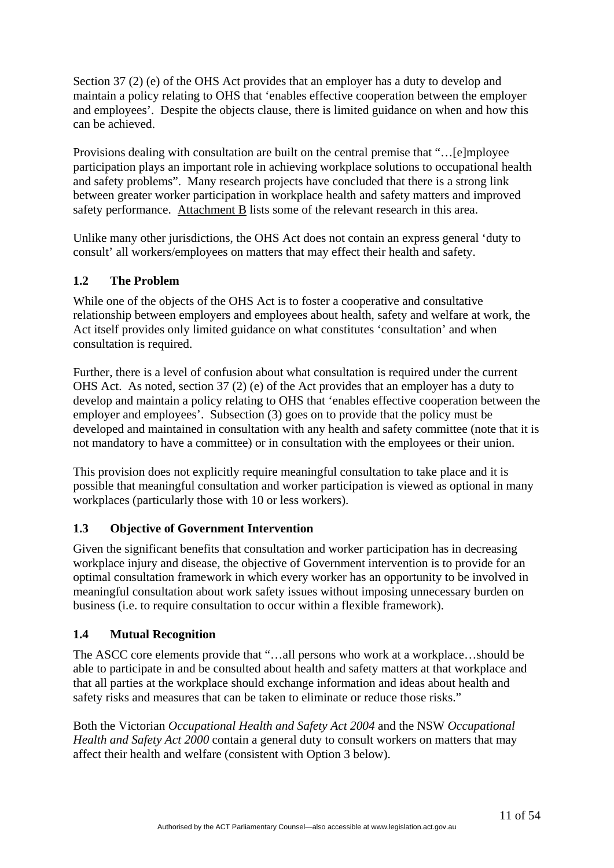Section 37 (2) (e) of the OHS Act provides that an employer has a duty to develop and maintain a policy relating to OHS that 'enables effective cooperation between the employer and employees'. Despite the objects clause, there is limited guidance on when and how this can be achieved.

Provisions dealing with consultation are built on the central premise that "…[e]mployee participation plays an important role in achieving workplace solutions to occupational health and safety problems". Many research projects have concluded that there is a strong link between greater worker participation in workplace health and safety matters and improved safety performance. Attachment B lists some of the relevant research in this area.

Unlike many other jurisdictions, the OHS Act does not contain an express general 'duty to consult' all workers/employees on matters that may effect their health and safety.

# **1.2 The Problem**

While one of the objects of the OHS Act is to foster a cooperative and consultative relationship between employers and employees about health, safety and welfare at work, the Act itself provides only limited guidance on what constitutes 'consultation' and when consultation is required.

Further, there is a level of confusion about what consultation is required under the current OHS Act. As noted, section 37 (2) (e) of the Act provides that an employer has a duty to develop and maintain a policy relating to OHS that 'enables effective cooperation between the employer and employees'. Subsection (3) goes on to provide that the policy must be developed and maintained in consultation with any health and safety committee (note that it is not mandatory to have a committee) or in consultation with the employees or their union.

This provision does not explicitly require meaningful consultation to take place and it is possible that meaningful consultation and worker participation is viewed as optional in many workplaces (particularly those with 10 or less workers).

# **1.3 Objective of Government Intervention**

Given the significant benefits that consultation and worker participation has in decreasing workplace injury and disease, the objective of Government intervention is to provide for an optimal consultation framework in which every worker has an opportunity to be involved in meaningful consultation about work safety issues without imposing unnecessary burden on business (i.e. to require consultation to occur within a flexible framework).

# **1.4 Mutual Recognition**

The ASCC core elements provide that "…all persons who work at a workplace…should be able to participate in and be consulted about health and safety matters at that workplace and that all parties at the workplace should exchange information and ideas about health and safety risks and measures that can be taken to eliminate or reduce those risks."

Both the Victorian *Occupational Health and Safety Act 2004* and the NSW *Occupational Health and Safety Act 2000* contain a general duty to consult workers on matters that may affect their health and welfare (consistent with Option 3 below).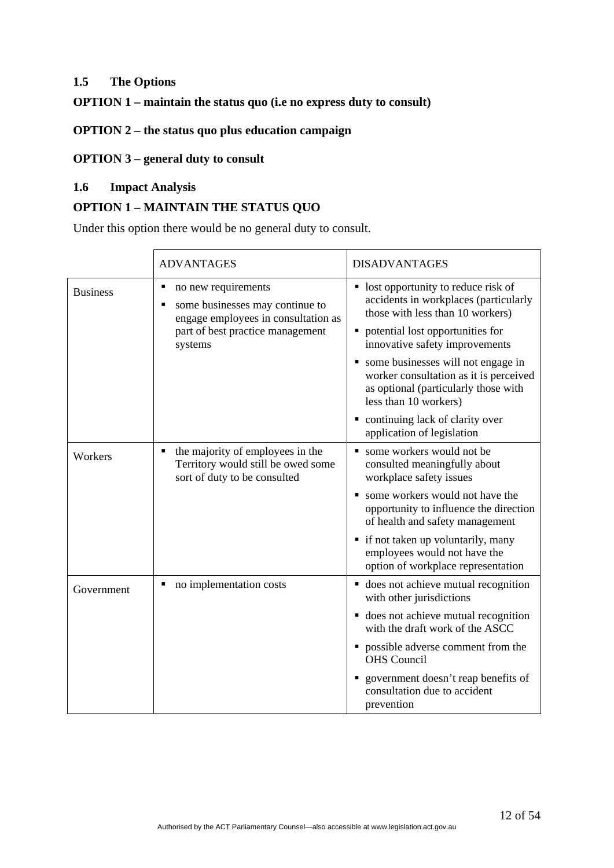# **1.5 The Options**

#### **OPTION 1 – maintain the status quo (i.e no express duty to consult)**

#### **OPTION 2 – the status quo plus education campaign**

# **OPTION 3 – general duty to consult**

# **1.6 Impact Analysis**

# **OPTION 1 – MAINTAIN THE STATUS QUO**

Under this option there would be no general duty to consult.

|                 | <b>ADVANTAGES</b>                                                                                                                            | <b>DISADVANTAGES</b>                                                                                                                                                                                                                                                                                                                                                                                          |
|-----------------|----------------------------------------------------------------------------------------------------------------------------------------------|---------------------------------------------------------------------------------------------------------------------------------------------------------------------------------------------------------------------------------------------------------------------------------------------------------------------------------------------------------------------------------------------------------------|
| <b>Business</b> | no new requirements<br>some businesses may continue to<br>engage employees in consultation as<br>part of best practice management<br>systems | • lost opportunity to reduce risk of<br>accidents in workplaces (particularly<br>those with less than 10 workers)<br>potential lost opportunities for<br>innovative safety improvements<br>• some businesses will not engage in<br>worker consultation as it is perceived<br>as optional (particularly those with<br>less than 10 workers)<br>• continuing lack of clarity over<br>application of legislation |
| Workers         | the majority of employees in the<br>Territory would still be owed some<br>sort of duty to be consulted                                       | some workers would not be<br>consulted meaningfully about<br>workplace safety issues<br>• some workers would not have the<br>opportunity to influence the direction<br>of health and safety management<br>• if not taken up voluntarily, many<br>employees would not have the<br>option of workplace representation                                                                                           |
| Government      | no implementation costs<br>٠                                                                                                                 | • does not achieve mutual recognition<br>with other jurisdictions<br>• does not achieve mutual recognition<br>with the draft work of the ASCC<br>• possible adverse comment from the<br><b>OHS</b> Council<br>government doesn't reap benefits of<br>consultation due to accident<br>prevention                                                                                                               |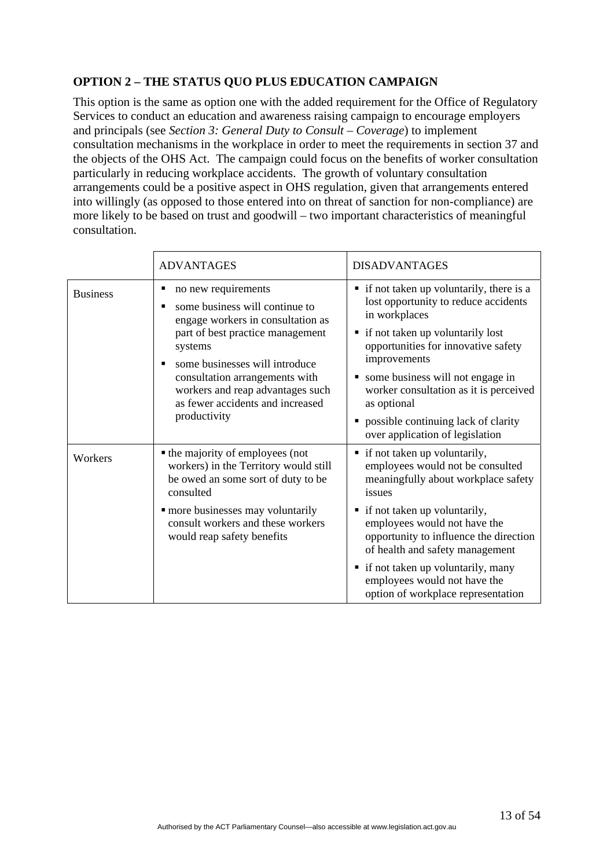# **OPTION 2 – THE STATUS QUO PLUS EDUCATION CAMPAIGN**

This option is the same as option one with the added requirement for the Office of Regulatory Services to conduct an education and awareness raising campaign to encourage employers and principals (see *Section 3: General Duty to Consult – Coverage*) to implement consultation mechanisms in the workplace in order to meet the requirements in section 37 and the objects of the OHS Act. The campaign could focus on the benefits of worker consultation particularly in reducing workplace accidents. The growth of voluntary consultation arrangements could be a positive aspect in OHS regulation, given that arrangements entered into willingly (as opposed to those entered into on threat of sanction for non-compliance) are more likely to be based on trust and goodwill – two important characteristics of meaningful consultation.

|                 | <b>ADVANTAGES</b>                                                                                                                                                                                                                                                                                     | <b>DISADVANTAGES</b>                                                                                                                                                                                                                                                                                                                                                                                                               |
|-----------------|-------------------------------------------------------------------------------------------------------------------------------------------------------------------------------------------------------------------------------------------------------------------------------------------------------|------------------------------------------------------------------------------------------------------------------------------------------------------------------------------------------------------------------------------------------------------------------------------------------------------------------------------------------------------------------------------------------------------------------------------------|
| <b>Business</b> | no new requirements<br>some business will continue to<br>engage workers in consultation as<br>part of best practice management<br>systems<br>some businesses will introduce<br>consultation arrangements with<br>workers and reap advantages such<br>as fewer accidents and increased<br>productivity | • if not taken up voluntarily, there is a<br>lost opportunity to reduce accidents<br>in workplaces<br>if not taken up voluntarily lost<br>٠<br>opportunities for innovative safety<br>improvements<br>some business will not engage in<br>٠<br>worker consultation as it is perceived<br>as optional<br>possible continuing lack of clarity                                                                                        |
| Workers         | • the majority of employees (not<br>workers) in the Territory would still<br>be owed an some sort of duty to be<br>consulted<br>• more businesses may voluntarily<br>consult workers and these workers<br>would reap safety benefits                                                                  | over application of legislation<br>$\blacksquare$ if not taken up voluntarily,<br>employees would not be consulted<br>meaningfully about workplace safety<br>issues<br>if not taken up voluntarily,<br>٠<br>employees would not have the<br>opportunity to influence the direction<br>of health and safety management<br>• if not taken up voluntarily, many<br>employees would not have the<br>option of workplace representation |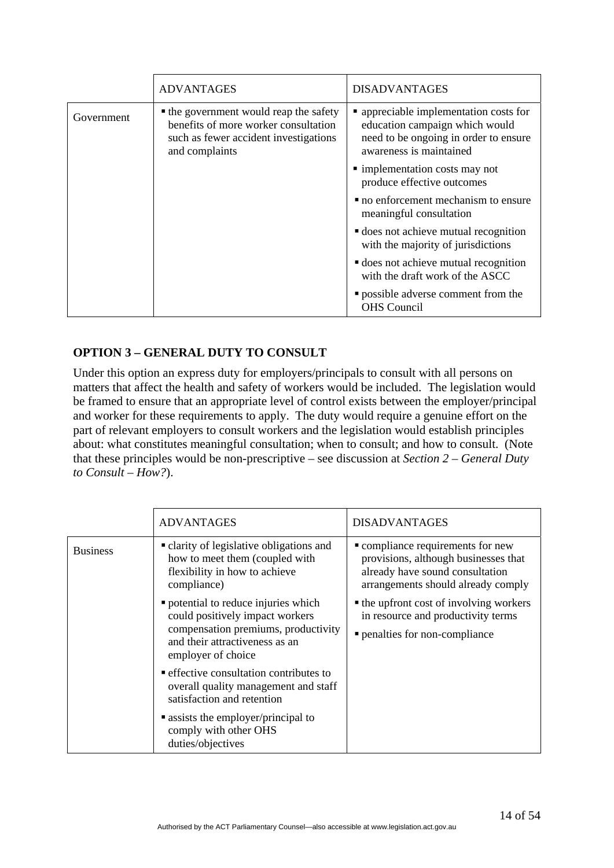|            | <b>ADVANTAGES</b>                                                                                                                         | <b>DISADVANTAGES</b>                                                                                                                         |
|------------|-------------------------------------------------------------------------------------------------------------------------------------------|----------------------------------------------------------------------------------------------------------------------------------------------|
| Government | • the government would reap the safety<br>benefits of more worker consultation<br>such as fewer accident investigations<br>and complaints | • appreciable implementation costs for<br>education campaign which would<br>need to be ongoing in order to ensure<br>awareness is maintained |
|            |                                                                                                                                           | • implementation costs may not<br>produce effective outcomes                                                                                 |
|            |                                                                                                                                           | • no enforcement mechanism to ensure<br>meaningful consultation                                                                              |
|            |                                                                                                                                           | <b>does</b> not achieve mutual recognition<br>with the majority of jurisdictions                                                             |
|            |                                                                                                                                           | <b>does</b> not achieve mutual recognition<br>with the draft work of the ASCC                                                                |
|            |                                                                                                                                           | <b>p</b> ossible adverse comment from the<br><b>OHS</b> Council                                                                              |

# **OPTION 3 – GENERAL DUTY TO CONSULT**

Under this option an express duty for employers/principals to consult with all persons on matters that affect the health and safety of workers would be included. The legislation would be framed to ensure that an appropriate level of control exists between the employer/principal and worker for these requirements to apply. The duty would require a genuine effort on the part of relevant employers to consult workers and the legislation would establish principles about: what constitutes meaningful consultation; when to consult; and how to consult. (Note that these principles would be non-prescriptive – see discussion at *Section 2 – General Duty to Consult – How?*).

|                 | <b>ADVANTAGES</b>                                                                                                                                                      | <b>DISADVANTAGES</b>                                                                                                                               |
|-----------------|------------------------------------------------------------------------------------------------------------------------------------------------------------------------|----------------------------------------------------------------------------------------------------------------------------------------------------|
| <b>Business</b> | • clarity of legislative obligations and<br>how to meet them (coupled with<br>flexibility in how to achieve<br>compliance)                                             | • compliance requirements for new<br>provisions, although businesses that<br>already have sound consultation<br>arrangements should already comply |
|                 | • potential to reduce injuries which<br>could positively impact workers<br>compensation premiums, productivity<br>and their attractiveness as an<br>employer of choice | • the upfront cost of involving workers<br>in resource and productivity terms<br>penalties for non-compliance                                      |
|                 | <b>Example 1</b> effective consultation contributes to<br>overall quality management and staff<br>satisfaction and retention                                           |                                                                                                                                                    |
|                 | • assists the employer/principal to<br>comply with other OHS<br>duties/objectives                                                                                      |                                                                                                                                                    |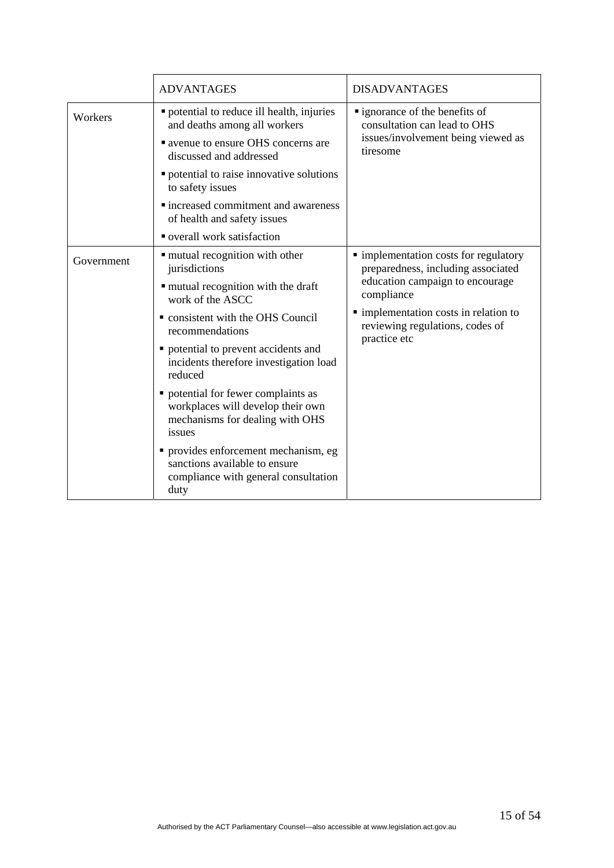|            | <b>ADVANTAGES</b>                                                                                                                 | <b>DISADVANTAGES</b>                                                                                                         |
|------------|-----------------------------------------------------------------------------------------------------------------------------------|------------------------------------------------------------------------------------------------------------------------------|
| Workers    | " potential to reduce ill health, injuries<br>and deaths among all workers<br><b>Example 20 avenue to ensure OHS</b> concerns are | " ignorance of the benefits of<br>consultation can lead to OHS<br>issues/involvement being viewed as                         |
|            | discussed and addressed                                                                                                           | tiresome                                                                                                                     |
|            | • potential to raise innovative solutions<br>to safety issues                                                                     |                                                                                                                              |
|            | • increased commitment and awareness<br>of health and safety issues                                                               |                                                                                                                              |
|            | overall work satisfaction                                                                                                         |                                                                                                                              |
| Government | " mutual recognition with other<br>jurisdictions                                                                                  | · implementation costs for regulatory<br>preparedness, including associated<br>education campaign to encourage<br>compliance |
|            | " mutual recognition with the draft<br>work of the ASCC                                                                           |                                                                                                                              |
|            | • consistent with the OHS Council<br>recommendations                                                                              | • implementation costs in relation to<br>reviewing regulations, codes of<br>practice etc                                     |
|            | • potential to prevent accidents and<br>incidents therefore investigation load<br>reduced                                         |                                                                                                                              |
|            | • potential for fewer complaints as<br>workplaces will develop their own<br>mechanisms for dealing with OHS<br>issues             |                                                                                                                              |
|            | • provides enforcement mechanism, eg<br>sanctions available to ensure<br>compliance with general consultation<br>duty             |                                                                                                                              |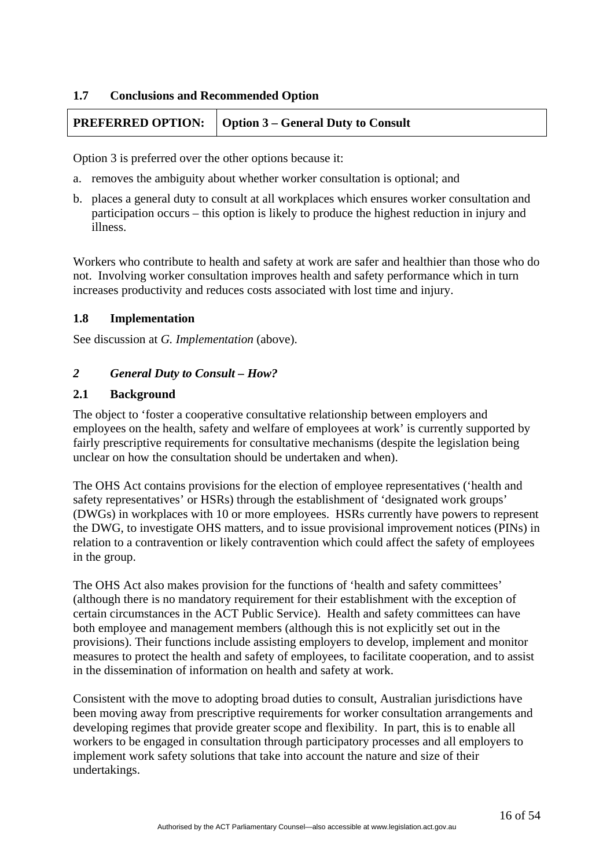#### <span id="page-15-0"></span>**1.7 Conclusions and Recommended Option**

# **PREFERRED OPTION:** Option 3 – General Duty to Consult

Option 3 is preferred over the other options because it:

- a. removes the ambiguity about whether worker consultation is optional; and
- b. places a general duty to consult at all workplaces which ensures worker consultation and participation occurs – this option is likely to produce the highest reduction in injury and illness.

Workers who contribute to health and safety at work are safer and healthier than those who do not. Involving worker consultation improves health and safety performance which in turn increases productivity and reduces costs associated with lost time and injury.

#### **1.8 Implementation**

See discussion at *G. Implementation* (above).

#### *2 General Duty to Consult – How?*

#### **2.1 Background**

The object to 'foster a cooperative consultative relationship between employers and employees on the health, safety and welfare of employees at work' is currently supported by fairly prescriptive requirements for consultative mechanisms (despite the legislation being unclear on how the consultation should be undertaken and when).

The OHS Act contains provisions for the election of employee representatives ('health and safety representatives' or HSRs) through the establishment of 'designated work groups' (DWGs) in workplaces with 10 or more employees. HSRs currently have powers to represent the DWG, to investigate OHS matters, and to issue provisional improvement notices (PINs) in relation to a contravention or likely contravention which could affect the safety of employees in the group.

The OHS Act also makes provision for the functions of 'health and safety committees' (although there is no mandatory requirement for their establishment with the exception of certain circumstances in the ACT Public Service). Health and safety committees can have both employee and management members (although this is not explicitly set out in the provisions). Their functions include assisting employers to develop, implement and monitor measures to protect the health and safety of employees, to facilitate cooperation, and to assist in the dissemination of information on health and safety at work.

Consistent with the move to adopting broad duties to consult, Australian jurisdictions have been moving away from prescriptive requirements for worker consultation arrangements and developing regimes that provide greater scope and flexibility. In part, this is to enable all workers to be engaged in consultation through participatory processes and all employers to implement work safety solutions that take into account the nature and size of their undertakings.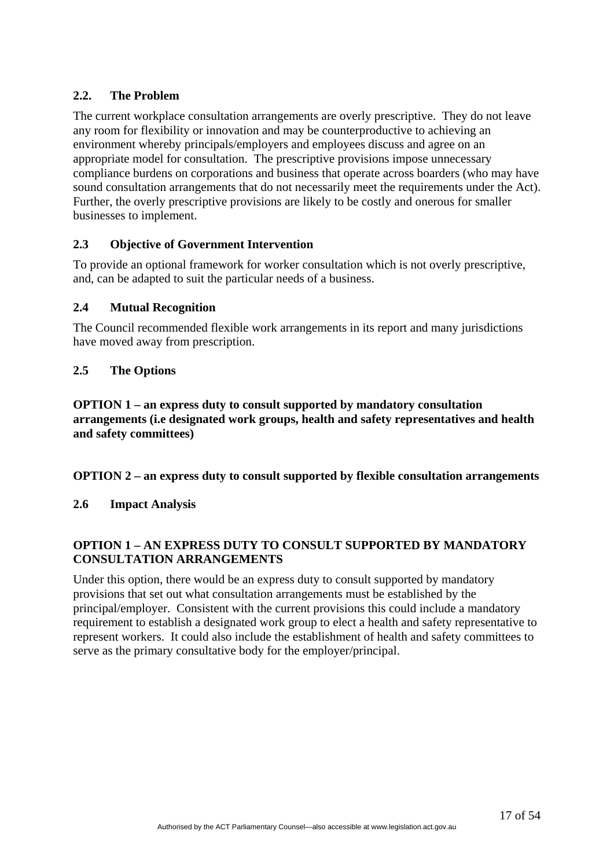# **2.2. The Problem**

The current workplace consultation arrangements are overly prescriptive. They do not leave any room for flexibility or innovation and may be counterproductive to achieving an environment whereby principals/employers and employees discuss and agree on an appropriate model for consultation. The prescriptive provisions impose unnecessary compliance burdens on corporations and business that operate across boarders (who may have sound consultation arrangements that do not necessarily meet the requirements under the Act). Further, the overly prescriptive provisions are likely to be costly and onerous for smaller businesses to implement.

#### **2.3 Objective of Government Intervention**

To provide an optional framework for worker consultation which is not overly prescriptive, and, can be adapted to suit the particular needs of a business.

#### **2.4 Mutual Recognition**

The Council recommended flexible work arrangements in its report and many jurisdictions have moved away from prescription.

#### **2.5 The Options**

**OPTION 1 – an express duty to consult supported by mandatory consultation arrangements (i.e designated work groups, health and safety representatives and health and safety committees)** 

#### **OPTION 2 – an express duty to consult supported by flexible consultation arrangements**

#### **2.6 Impact Analysis**

# **OPTION 1 – AN EXPRESS DUTY TO CONSULT SUPPORTED BY MANDATORY CONSULTATION ARRANGEMENTS**

Under this option, there would be an express duty to consult supported by mandatory provisions that set out what consultation arrangements must be established by the principal/employer. Consistent with the current provisions this could include a mandatory requirement to establish a designated work group to elect a health and safety representative to represent workers. It could also include the establishment of health and safety committees to serve as the primary consultative body for the employer/principal.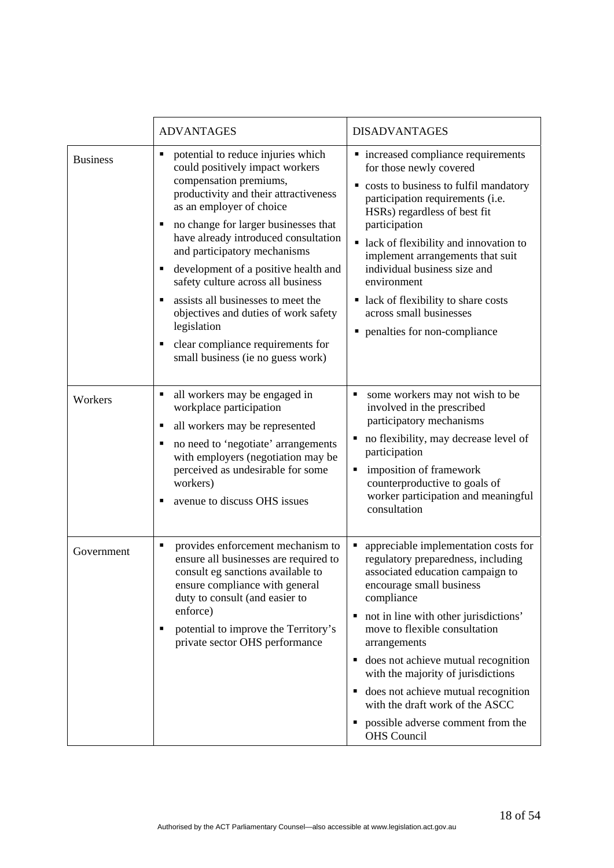|                 | <b>ADVANTAGES</b>                                                                                                                                                                                                                                                                                                                                                                                                                                                                                                                              | <b>DISADVANTAGES</b>                                                                                                                                                                                                                                                                                                                                                                                                                                                                  |
|-----------------|------------------------------------------------------------------------------------------------------------------------------------------------------------------------------------------------------------------------------------------------------------------------------------------------------------------------------------------------------------------------------------------------------------------------------------------------------------------------------------------------------------------------------------------------|---------------------------------------------------------------------------------------------------------------------------------------------------------------------------------------------------------------------------------------------------------------------------------------------------------------------------------------------------------------------------------------------------------------------------------------------------------------------------------------|
| <b>Business</b> | potential to reduce injuries which<br>٠<br>could positively impact workers<br>compensation premiums,<br>productivity and their attractiveness<br>as an employer of choice<br>no change for larger businesses that<br>have already introduced consultation<br>and participatory mechanisms<br>development of a positive health and<br>safety culture across all business<br>assists all businesses to meet the<br>objectives and duties of work safety<br>legislation<br>clear compliance requirements for<br>small business (ie no guess work) | • increased compliance requirements<br>for those newly covered<br>costs to business to fulfil mandatory<br>participation requirements (i.e.<br>HSRs) regardless of best fit<br>participation<br>lack of flexibility and innovation to<br>implement arrangements that suit<br>individual business size and<br>environment<br>lack of flexibility to share costs<br>across small businesses<br>penalties for non-compliance<br>٠                                                        |
| Workers         | all workers may be engaged in<br>workplace participation<br>all workers may be represented<br>no need to 'negotiate' arrangements<br>with employers (negotiation may be<br>perceived as undesirable for some<br>workers)<br>avenue to discuss OHS issues                                                                                                                                                                                                                                                                                       | some workers may not wish to be<br>п<br>involved in the prescribed<br>participatory mechanisms<br>no flexibility, may decrease level of<br>п<br>participation<br>imposition of framework<br>٠<br>counterproductive to goals of<br>worker participation and meaningful<br>consultation                                                                                                                                                                                                 |
| Government      | provides enforcement mechanism to<br>п<br>ensure all businesses are required to<br>consult eg sanctions available to<br>ensure compliance with general<br>duty to consult (and easier to<br>enforce)<br>potential to improve the Territory's<br>private sector OHS performance                                                                                                                                                                                                                                                                 | appreciable implementation costs for<br>regulatory preparedness, including<br>associated education campaign to<br>encourage small business<br>compliance<br>not in line with other jurisdictions'<br>٠<br>move to flexible consultation<br>arrangements<br>does not achieve mutual recognition<br>٠<br>with the majority of jurisdictions<br>• does not achieve mutual recognition<br>with the draft work of the ASCC<br>possible adverse comment from the<br>٠<br><b>OHS</b> Council |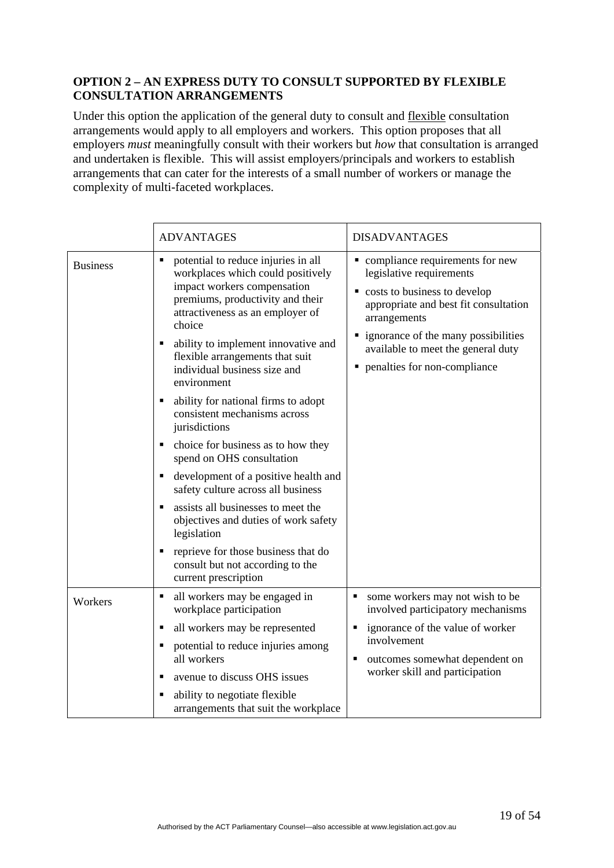#### **OPTION 2 – AN EXPRESS DUTY TO CONSULT SUPPORTED BY FLEXIBLE CONSULTATION ARRANGEMENTS**

Under this option the application of the general duty to consult and flexible consultation arrangements would apply to all employers and workers. This option proposes that all employers *must* meaningfully consult with their workers but *how* that consultation is arranged and undertaken is flexible. This will assist employers/principals and workers to establish arrangements that can cater for the interests of a small number of workers or manage the complexity of multi-faceted workplaces.

|                 | <b>ADVANTAGES</b>                                                                                                                                                                                                                                                                                                                                                                                                                                                                                                                                                                                                                                                                                                                                                     | <b>DISADVANTAGES</b>                                                                                                                                                                                                                                                    |
|-----------------|-----------------------------------------------------------------------------------------------------------------------------------------------------------------------------------------------------------------------------------------------------------------------------------------------------------------------------------------------------------------------------------------------------------------------------------------------------------------------------------------------------------------------------------------------------------------------------------------------------------------------------------------------------------------------------------------------------------------------------------------------------------------------|-------------------------------------------------------------------------------------------------------------------------------------------------------------------------------------------------------------------------------------------------------------------------|
| <b>Business</b> | potential to reduce injuries in all<br>workplaces which could positively<br>impact workers compensation<br>premiums, productivity and their<br>attractiveness as an employer of<br>choice<br>ability to implement innovative and<br>flexible arrangements that suit<br>individual business size and<br>environment<br>ability for national firms to adopt<br>п<br>consistent mechanisms across<br>jurisdictions<br>choice for business as to how they<br>spend on OHS consultation<br>development of a positive health and<br>٠<br>safety culture across all business<br>assists all businesses to meet the<br>objectives and duties of work safety<br>legislation<br>reprieve for those business that do<br>consult but not according to the<br>current prescription | • compliance requirements for new<br>legislative requirements<br>• costs to business to develop<br>appropriate and best fit consultation<br>arrangements<br>• ignorance of the many possibilities<br>available to meet the general duty<br>penalties for non-compliance |
| Workers         | all workers may be engaged in<br>٠<br>workplace participation                                                                                                                                                                                                                                                                                                                                                                                                                                                                                                                                                                                                                                                                                                         | some workers may not wish to be<br>٠<br>involved participatory mechanisms                                                                                                                                                                                               |
|                 | all workers may be represented<br>п                                                                                                                                                                                                                                                                                                                                                                                                                                                                                                                                                                                                                                                                                                                                   | ignorance of the value of worker                                                                                                                                                                                                                                        |
|                 | potential to reduce injuries among<br>all workers                                                                                                                                                                                                                                                                                                                                                                                                                                                                                                                                                                                                                                                                                                                     | involvement<br>outcomes somewhat dependent on                                                                                                                                                                                                                           |
|                 | avenue to discuss OHS issues<br>п                                                                                                                                                                                                                                                                                                                                                                                                                                                                                                                                                                                                                                                                                                                                     | worker skill and participation                                                                                                                                                                                                                                          |
|                 | ability to negotiate flexible<br>П<br>arrangements that suit the workplace                                                                                                                                                                                                                                                                                                                                                                                                                                                                                                                                                                                                                                                                                            |                                                                                                                                                                                                                                                                         |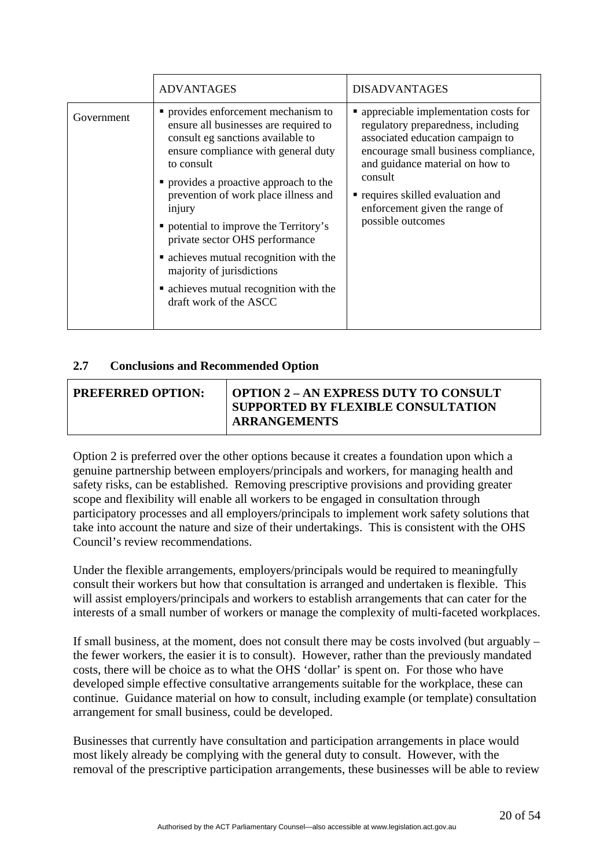|            | <b>ADVANTAGES</b>                                                                                                                                                                                                                                                                                                                                                                                                                                                                         | <b>DISADVANTAGES</b>                                                                                                                                                                                                                                                                             |
|------------|-------------------------------------------------------------------------------------------------------------------------------------------------------------------------------------------------------------------------------------------------------------------------------------------------------------------------------------------------------------------------------------------------------------------------------------------------------------------------------------------|--------------------------------------------------------------------------------------------------------------------------------------------------------------------------------------------------------------------------------------------------------------------------------------------------|
| Government | • provides enforcement mechanism to<br>ensure all businesses are required to<br>consult eg sanctions available to<br>ensure compliance with general duty<br>to consult<br>• provides a proactive approach to the<br>prevention of work place illness and<br>injury<br>• potential to improve the Territory's<br>private sector OHS performance<br>• achieves mutual recognition with the<br>majority of jurisdictions<br>• achieves mutual recognition with the<br>draft work of the ASCC | • appreciable implementation costs for<br>regulatory preparedness, including<br>associated education campaign to<br>encourage small business compliance,<br>and guidance material on how to<br>consult<br>requires skilled evaluation and<br>enforcement given the range of<br>possible outcomes |

# **2.7 Conclusions and Recommended Option**

| <b>PREFERRED OPTION:</b> | <b>OPTION 2 - AN EXPRESS DUTY TO CONSULT</b><br>SUPPORTED BY FLEXIBLE CONSULTATION<br><b>ARRANGEMENTS</b> |
|--------------------------|-----------------------------------------------------------------------------------------------------------|
|--------------------------|-----------------------------------------------------------------------------------------------------------|

Option 2 is preferred over the other options because it creates a foundation upon which a genuine partnership between employers/principals and workers, for managing health and safety risks, can be established. Removing prescriptive provisions and providing greater scope and flexibility will enable all workers to be engaged in consultation through participatory processes and all employers/principals to implement work safety solutions that take into account the nature and size of their undertakings. This is consistent with the OHS Council's review recommendations.

Under the flexible arrangements, employers/principals would be required to meaningfully consult their workers but how that consultation is arranged and undertaken is flexible. This will assist employers/principals and workers to establish arrangements that can cater for the interests of a small number of workers or manage the complexity of multi-faceted workplaces.

If small business, at the moment, does not consult there may be costs involved (but arguably – the fewer workers, the easier it is to consult). However, rather than the previously mandated costs, there will be choice as to what the OHS 'dollar' is spent on. For those who have developed simple effective consultative arrangements suitable for the workplace, these can continue. Guidance material on how to consult, including example (or template) consultation arrangement for small business, could be developed.

Businesses that currently have consultation and participation arrangements in place would most likely already be complying with the general duty to consult. However, with the removal of the prescriptive participation arrangements, these businesses will be able to review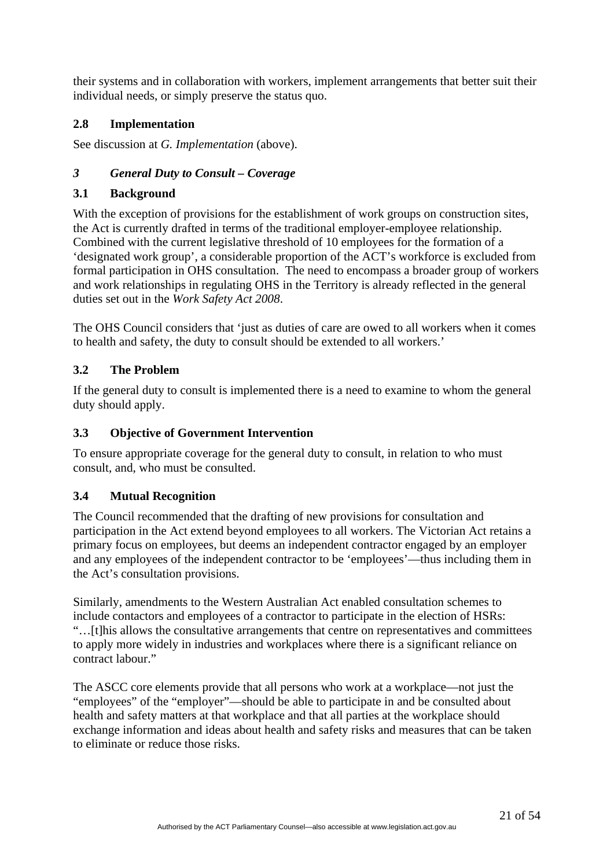<span id="page-20-0"></span>their systems and in collaboration with workers, implement arrangements that better suit their individual needs, or simply preserve the status quo.

# **2.8 Implementation**

See discussion at *G. Implementation* (above).

# *3 General Duty to Consult – Coverage*

# **3.1 Background**

With the exception of provisions for the establishment of work groups on construction sites, the Act is currently drafted in terms of the traditional employer-employee relationship. Combined with the current legislative threshold of 10 employees for the formation of a 'designated work group', a considerable proportion of the ACT's workforce is excluded from formal participation in OHS consultation. The need to encompass a broader group of workers and work relationships in regulating OHS in the Territory is already reflected in the general duties set out in the *Work Safety Act 2008*.

The OHS Council considers that 'just as duties of care are owed to all workers when it comes to health and safety, the duty to consult should be extended to all workers.'

# **3.2 The Problem**

If the general duty to consult is implemented there is a need to examine to whom the general duty should apply.

# **3.3 Objective of Government Intervention**

To ensure appropriate coverage for the general duty to consult, in relation to who must consult, and, who must be consulted.

# **3.4 Mutual Recognition**

The Council recommended that the drafting of new provisions for consultation and participation in the Act extend beyond employees to all workers. The Victorian Act retains a primary focus on employees, but deems an independent contractor engaged by an employer and any employees of the independent contractor to be 'employees'—thus including them in the Act's consultation provisions.

Similarly, amendments to the Western Australian Act enabled consultation schemes to include contactors and employees of a contractor to participate in the election of HSRs: "…[t]his allows the consultative arrangements that centre on representatives and committees to apply more widely in industries and workplaces where there is a significant reliance on contract labour."

The ASCC core elements provide that all persons who work at a workplace—not just the "employees" of the "employer"—should be able to participate in and be consulted about health and safety matters at that workplace and that all parties at the workplace should exchange information and ideas about health and safety risks and measures that can be taken to eliminate or reduce those risks.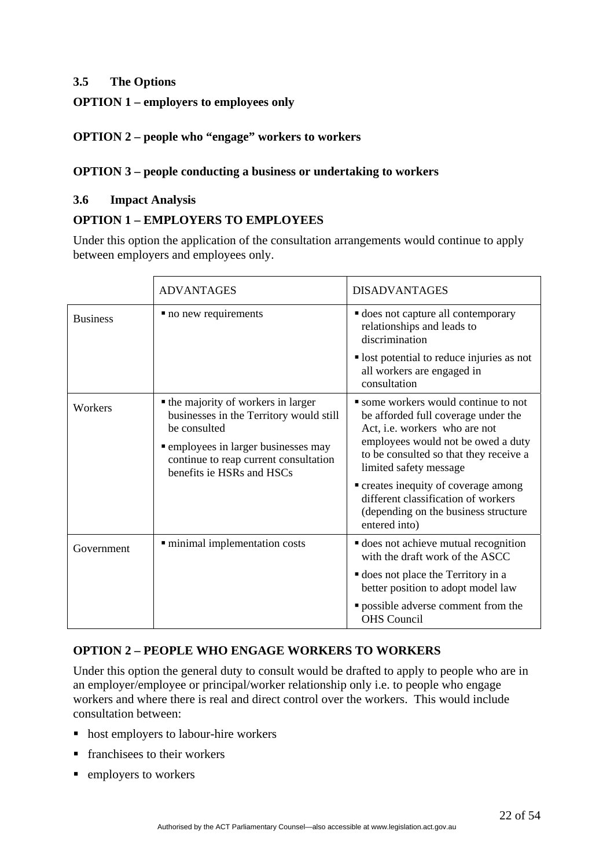# **3.5 The Options**

# **OPTION 1 – employers to employees only**

# **OPTION 2 – people who "engage" workers to workers**

# **OPTION 3 – people conducting a business or undertaking to workers**

#### **3.6 Impact Analysis**

#### **OPTION 1 – EMPLOYERS TO EMPLOYEES**

Under this option the application of the consultation arrangements would continue to apply between employers and employees only.

|                 | <b>ADVANTAGES</b>                                                                                                                                                                                            | <b>DISADVANTAGES</b>                                                                                                                                                                                                                                                                                                                                            |
|-----------------|--------------------------------------------------------------------------------------------------------------------------------------------------------------------------------------------------------------|-----------------------------------------------------------------------------------------------------------------------------------------------------------------------------------------------------------------------------------------------------------------------------------------------------------------------------------------------------------------|
| <b>Business</b> | • no new requirements                                                                                                                                                                                        | <b>does not capture all contemporary</b><br>relationships and leads to<br>discrimination                                                                                                                                                                                                                                                                        |
|                 |                                                                                                                                                                                                              | lost potential to reduce injuries as not<br>all workers are engaged in<br>consultation                                                                                                                                                                                                                                                                          |
| Workers         | • the majority of workers in larger<br>businesses in the Territory would still<br>be consulted<br>• employees in larger businesses may<br>continue to reap current consultation<br>benefits ie HSRs and HSCs | • some workers would continue to not<br>be afforded full coverage under the<br>Act, i.e. workers who are not<br>employees would not be owed a duty<br>to be consulted so that they receive a<br>limited safety message<br>• creates inequity of coverage among<br>different classification of workers<br>(depending on the business structure)<br>entered into) |
| Government      | minimal implementation costs                                                                                                                                                                                 | <b>does</b> not achieve mutual recognition<br>with the draft work of the ASCC<br><b>does</b> not place the Territory in a<br>better position to adopt model law<br>" possible adverse comment from the                                                                                                                                                          |
|                 |                                                                                                                                                                                                              | <b>OHS</b> Council                                                                                                                                                                                                                                                                                                                                              |

# **OPTION 2 – PEOPLE WHO ENGAGE WORKERS TO WORKERS**

Under this option the general duty to consult would be drafted to apply to people who are in an employer/employee or principal/worker relationship only i.e. to people who engage workers and where there is real and direct control over the workers. This would include consultation between:

- host employers to labour-hire workers
- **franchises to their workers**
- $\blacksquare$  employers to workers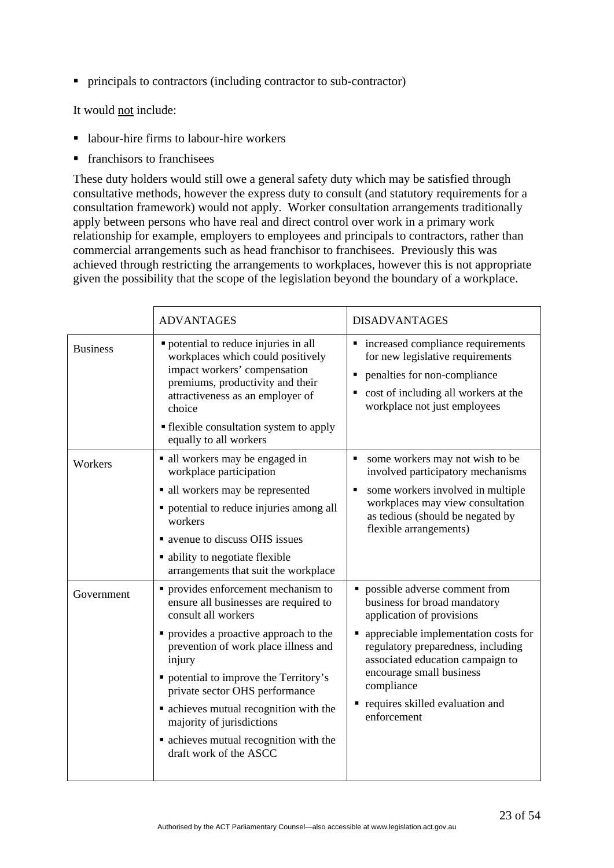principals to contractors (including contractor to sub-contractor)

It would not include:

- labour-hire firms to labour-hire workers
- franchisors to franchisees

These duty holders would still owe a general safety duty which may be satisfied through consultative methods, however the express duty to consult (and statutory requirements for a consultation framework) would not apply. Worker consultation arrangements traditionally apply between persons who have real and direct control over work in a primary work relationship for example, employers to employees and principals to contractors, rather than commercial arrangements such as head franchisor to franchisees. Previously this was achieved through restricting the arrangements to workplaces, however this is not appropriate given the possibility that the scope of the legislation beyond the boundary of a workplace.

|                 | <b>ADVANTAGES</b>                                                                                                                                                                                                                                                                                                                                                                                                      | <b>DISADVANTAGES</b>                                                                                                                                                                                                                                                                                     |
|-----------------|------------------------------------------------------------------------------------------------------------------------------------------------------------------------------------------------------------------------------------------------------------------------------------------------------------------------------------------------------------------------------------------------------------------------|----------------------------------------------------------------------------------------------------------------------------------------------------------------------------------------------------------------------------------------------------------------------------------------------------------|
| <b>Business</b> | • potential to reduce injuries in all<br>workplaces which could positively<br>impact workers' compensation<br>premiums, productivity and their<br>attractiveness as an employer of<br>choice<br>• flexible consultation system to apply<br>equally to all workers                                                                                                                                                      | • increased compliance requirements<br>for new legislative requirements<br>penalties for non-compliance<br>٠<br>cost of including all workers at the<br>workplace not just employees                                                                                                                     |
| Workers         | lacktriangleright all workers may be engaged in<br>workplace participation<br>· all workers may be represented<br>• potential to reduce injuries among all<br>workers<br>• avenue to discuss OHS issues<br>• ability to negotiate flexible<br>arrangements that suit the workplace                                                                                                                                     | some workers may not wish to be<br>involved participatory mechanisms<br>some workers involved in multiple<br>п<br>workplaces may view consultation<br>as tedious (should be negated by<br>flexible arrangements)                                                                                         |
| Government      | • provides enforcement mechanism to<br>ensure all businesses are required to<br>consult all workers<br>• provides a proactive approach to the<br>prevention of work place illness and<br>injury<br>• potential to improve the Territory's<br>private sector OHS performance<br>• achieves mutual recognition with the<br>majority of jurisdictions<br>• achieves mutual recognition with the<br>draft work of the ASCC | possible adverse comment from<br>business for broad mandatory<br>application of provisions<br>appreciable implementation costs for<br>regulatory preparedness, including<br>associated education campaign to<br>encourage small business<br>compliance<br>requires skilled evaluation and<br>enforcement |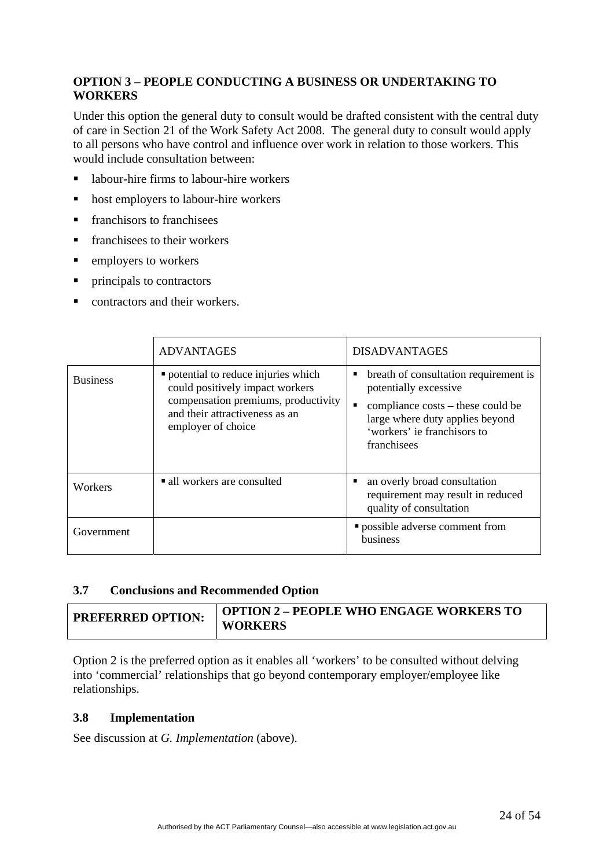# **OPTION 3 – PEOPLE CONDUCTING A BUSINESS OR UNDERTAKING TO WORKERS**

Under this option the general duty to consult would be drafted consistent with the central duty of care in Section 21 of the Work Safety Act 2008. The general duty to consult would apply to all persons who have control and influence over work in relation to those workers. This would include consultation between:

- labour-hire firms to labour-hire workers
- host employers to labour-hire workers
- **franchisors to franchisees**
- $\blacksquare$  franchisees to their workers
- employers to workers
- principals to contractors
- contractors and their workers.

|                 | <b>ADVANTAGES</b>                                                                                                                                                      | <b>DISADVANTAGES</b>                                                                                                                                                                 |
|-----------------|------------------------------------------------------------------------------------------------------------------------------------------------------------------------|--------------------------------------------------------------------------------------------------------------------------------------------------------------------------------------|
| <b>Business</b> | • potential to reduce injuries which<br>could positively impact workers<br>compensation premiums, productivity<br>and their attractiveness as an<br>employer of choice | breath of consultation requirement is<br>potentially excessive<br>compliance costs – these could be<br>large where duty applies beyond<br>'workers' ie franchisors to<br>franchisees |
| Workers         | all workers are consulted                                                                                                                                              | an overly broad consultation<br>requirement may result in reduced<br>quality of consultation                                                                                         |
| Government      |                                                                                                                                                                        | <b>possible adverse comment from</b><br>business                                                                                                                                     |

#### **3.7 Conclusions and Recommended Option**

| <b>PREFERRED OPTION:</b> | <b>OPTION 2 - PEOPLE WHO ENGAGE WORKERS TO</b><br><b>WORKERS</b> |
|--------------------------|------------------------------------------------------------------|
|                          |                                                                  |

Option 2 is the preferred option as it enables all 'workers' to be consulted without delving into 'commercial' relationships that go beyond contemporary employer/employee like relationships.

#### **3.8 Implementation**

See discussion at *G. Implementation* (above).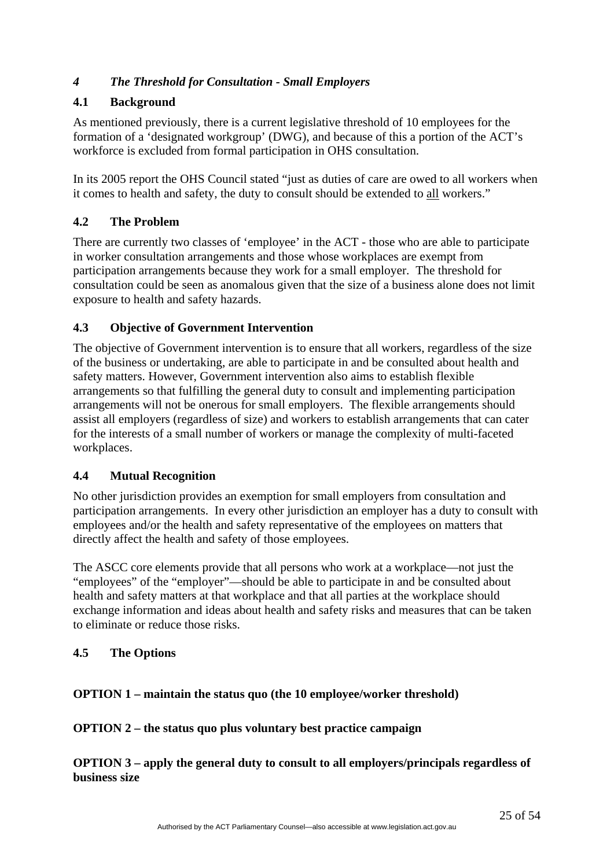# <span id="page-24-0"></span>*4 The Threshold for Consultation - Small Employers*

# **4.1 Background**

As mentioned previously, there is a current legislative threshold of 10 employees for the formation of a 'designated workgroup' (DWG), and because of this a portion of the ACT's workforce is excluded from formal participation in OHS consultation.

In its 2005 report the OHS Council stated "just as duties of care are owed to all workers when it comes to health and safety, the duty to consult should be extended to all workers."

# **4.2 The Problem**

There are currently two classes of 'employee' in the ACT - those who are able to participate in worker consultation arrangements and those whose workplaces are exempt from participation arrangements because they work for a small employer. The threshold for consultation could be seen as anomalous given that the size of a business alone does not limit exposure to health and safety hazards.

# **4.3 Objective of Government Intervention**

The objective of Government intervention is to ensure that all workers, regardless of the size of the business or undertaking, are able to participate in and be consulted about health and safety matters. However, Government intervention also aims to establish flexible arrangements so that fulfilling the general duty to consult and implementing participation arrangements will not be onerous for small employers. The flexible arrangements should assist all employers (regardless of size) and workers to establish arrangements that can cater for the interests of a small number of workers or manage the complexity of multi-faceted workplaces.

# **4.4 Mutual Recognition**

No other jurisdiction provides an exemption for small employers from consultation and participation arrangements. In every other jurisdiction an employer has a duty to consult with employees and/or the health and safety representative of the employees on matters that directly affect the health and safety of those employees.

The ASCC core elements provide that all persons who work at a workplace—not just the "employees" of the "employer"—should be able to participate in and be consulted about health and safety matters at that workplace and that all parties at the workplace should exchange information and ideas about health and safety risks and measures that can be taken to eliminate or reduce those risks.

# **4.5 The Options**

# **OPTION 1 – maintain the status quo (the 10 employee/worker threshold)**

# **OPTION 2 – the status quo plus voluntary best practice campaign**

**OPTION 3 – apply the general duty to consult to all employers/principals regardless of business size**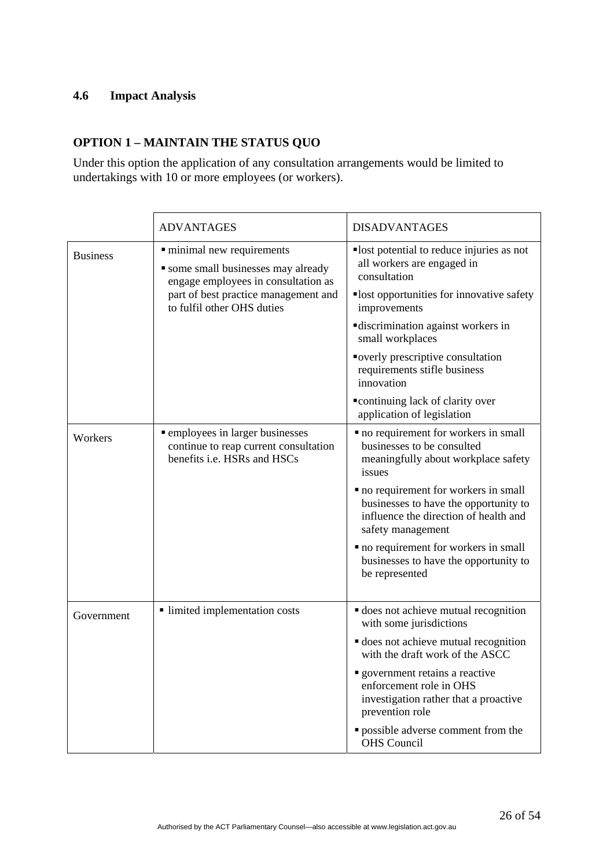#### **4.6 Impact Analysis**

# **OPTION 1 – MAINTAIN THE STATUS QUO**

Under this option the application of any consultation arrangements would be limited to undertakings with 10 or more employees (or workers).

|                 | <b>ADVANTAGES</b>                                                                                               | <b>DISADVANTAGES</b>                                                                                                                         |
|-----------------|-----------------------------------------------------------------------------------------------------------------|----------------------------------------------------------------------------------------------------------------------------------------------|
| <b>Business</b> | · minimal new requirements<br>• some small businesses may already<br>engage employees in consultation as        | lost potential to reduce injuries as not<br>all workers are engaged in<br>consultation                                                       |
|                 | part of best practice management and<br>to fulfil other OHS duties                                              | lost opportunities for innovative safety<br>improvements                                                                                     |
|                 |                                                                                                                 | discrimination against workers in<br>small workplaces                                                                                        |
|                 |                                                                                                                 | overly prescriptive consultation<br>requirements stifle business<br>innovation                                                               |
|                 |                                                                                                                 | "continuing lack of clarity over<br>application of legislation                                                                               |
| Workers         | <b>•</b> employees in larger businesses<br>continue to reap current consultation<br>benefits i.e. HSRs and HSCs | • no requirement for workers in small<br>businesses to be consulted<br>meaningfully about workplace safety<br>issues                         |
|                 |                                                                                                                 | • no requirement for workers in small<br>businesses to have the opportunity to<br>influence the direction of health and<br>safety management |
|                 |                                                                                                                 | • no requirement for workers in small<br>businesses to have the opportunity to<br>be represented                                             |
| Government      | limited implementation costs                                                                                    | does not achieve mutual recognition<br>with some jurisdictions                                                                               |
|                 |                                                                                                                 | does not achieve mutual recognition<br>with the draft work of the ASCC                                                                       |
|                 |                                                                                                                 | government retains a reactive<br>enforcement role in OHS<br>investigation rather that a proactive<br>prevention role                         |
|                 |                                                                                                                 | · possible adverse comment from the<br><b>OHS</b> Council                                                                                    |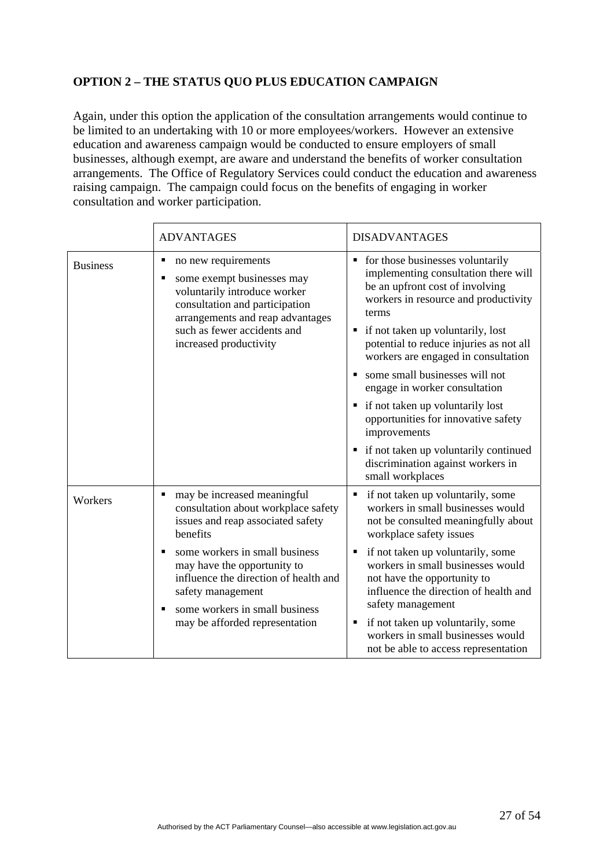# **OPTION 2 – THE STATUS QUO PLUS EDUCATION CAMPAIGN**

Again, under this option the application of the consultation arrangements would continue to be limited to an undertaking with 10 or more employees/workers. However an extensive education and awareness campaign would be conducted to ensure employers of small businesses, although exempt, are aware and understand the benefits of worker consultation arrangements. The Office of Regulatory Services could conduct the education and awareness raising campaign. The campaign could focus on the benefits of engaging in worker consultation and worker participation.

|                                                                                                                                                                                                 | <b>ADVANTAGES</b>                                                                                                                                                                                                                       | <b>DISADVANTAGES</b>                                                                                                                                                                                                                                                                                                                                                                                                                                       |
|-------------------------------------------------------------------------------------------------------------------------------------------------------------------------------------------------|-----------------------------------------------------------------------------------------------------------------------------------------------------------------------------------------------------------------------------------------|------------------------------------------------------------------------------------------------------------------------------------------------------------------------------------------------------------------------------------------------------------------------------------------------------------------------------------------------------------------------------------------------------------------------------------------------------------|
| <b>Business</b>                                                                                                                                                                                 | no new requirements<br>$\blacksquare$<br>some exempt businesses may<br>٠<br>voluntarily introduce worker<br>consultation and participation<br>arrangements and reap advantages<br>such as fewer accidents and<br>increased productivity | • for those businesses voluntarily<br>implementing consultation there will<br>be an upfront cost of involving<br>workers in resource and productivity<br>terms<br>• if not taken up voluntarily, lost<br>potential to reduce injuries as not all<br>workers are engaged in consultation<br>some small businesses will not<br>engage in worker consultation<br>if not taken up voluntarily lost<br>٠<br>opportunities for innovative safety<br>improvements |
|                                                                                                                                                                                                 |                                                                                                                                                                                                                                         | if not taken up voluntarily continued<br>٠<br>discrimination against workers in<br>small workplaces                                                                                                                                                                                                                                                                                                                                                        |
| Workers                                                                                                                                                                                         | may be increased meaningful<br>consultation about workplace safety<br>issues and reap associated safety<br>benefits                                                                                                                     | if not taken up voluntarily, some<br>٠<br>workers in small businesses would<br>not be consulted meaningfully about<br>workplace safety issues                                                                                                                                                                                                                                                                                                              |
| some workers in small business<br>may have the opportunity to<br>influence the direction of health and<br>safety management<br>some workers in small business<br>may be afforded representation | if not taken up voluntarily, some<br>٠<br>workers in small businesses would<br>not have the opportunity to<br>influence the direction of health and<br>safety management                                                                |                                                                                                                                                                                                                                                                                                                                                                                                                                                            |
|                                                                                                                                                                                                 |                                                                                                                                                                                                                                         | if not taken up voluntarily, some<br>٠<br>workers in small businesses would<br>not be able to access representation                                                                                                                                                                                                                                                                                                                                        |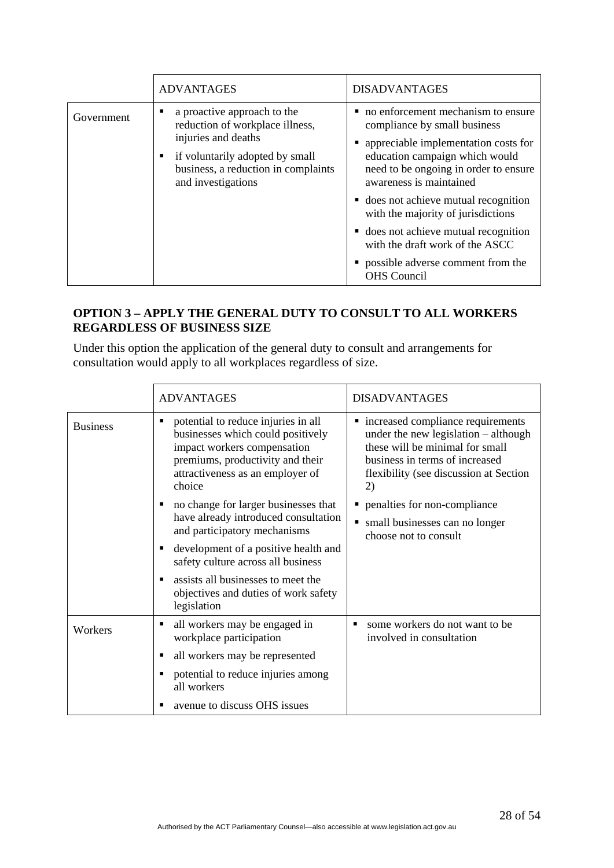|            | <b>ADVANTAGES</b>                                                                                                                                                                     | <b>DISADVANTAGES</b>                                                                                                                                                                                                                                                                                                                                                                                                                         |
|------------|---------------------------------------------------------------------------------------------------------------------------------------------------------------------------------------|----------------------------------------------------------------------------------------------------------------------------------------------------------------------------------------------------------------------------------------------------------------------------------------------------------------------------------------------------------------------------------------------------------------------------------------------|
| Government | a proactive approach to the<br>reduction of workplace illness,<br>injuries and deaths<br>if voluntarily adopted by small<br>business, a reduction in complaints<br>and investigations | • no enforcement mechanism to ensure<br>compliance by small business<br>• appreciable implementation costs for<br>education campaign which would<br>need to be ongoing in order to ensure<br>awareness is maintained<br>• does not achieve mutual recognition<br>with the majority of jurisdictions<br>• does not achieve mutual recognition<br>with the draft work of the ASCC<br>• possible adverse comment from the<br><b>OHS</b> Council |

# **OPTION 3 – APPLY THE GENERAL DUTY TO CONSULT TO ALL WORKERS REGARDLESS OF BUSINESS SIZE**

Under this option the application of the general duty to consult and arrangements for consultation would apply to all workplaces regardless of size.

|                 | <b>ADVANTAGES</b>                                                                                                                                                                              | <b>DISADVANTAGES</b>                                                                                                                                                                             |
|-----------------|------------------------------------------------------------------------------------------------------------------------------------------------------------------------------------------------|--------------------------------------------------------------------------------------------------------------------------------------------------------------------------------------------------|
| <b>Business</b> | potential to reduce injuries in all<br>٠<br>businesses which could positively<br>impact workers compensation<br>premiums, productivity and their<br>attractiveness as an employer of<br>choice | • increased compliance requirements<br>under the new legislation – although<br>these will be minimal for small<br>business in terms of increased<br>flexibility (see discussion at Section<br>2) |
|                 | no change for larger businesses that<br>have already introduced consultation<br>and participatory mechanisms                                                                                   | penalties for non-compliance<br>small businesses can no longer<br>choose not to consult                                                                                                          |
|                 | development of a positive health and<br>safety culture across all business                                                                                                                     |                                                                                                                                                                                                  |
|                 | assists all businesses to meet the<br>٠<br>objectives and duties of work safety<br>legislation                                                                                                 |                                                                                                                                                                                                  |
| Workers         | all workers may be engaged in<br>٠<br>workplace participation                                                                                                                                  | some workers do not want to be<br>involved in consultation                                                                                                                                       |
|                 | all workers may be represented<br>٠                                                                                                                                                            |                                                                                                                                                                                                  |
|                 | potential to reduce injuries among<br>all workers                                                                                                                                              |                                                                                                                                                                                                  |
|                 | avenue to discuss OHS issues<br>п                                                                                                                                                              |                                                                                                                                                                                                  |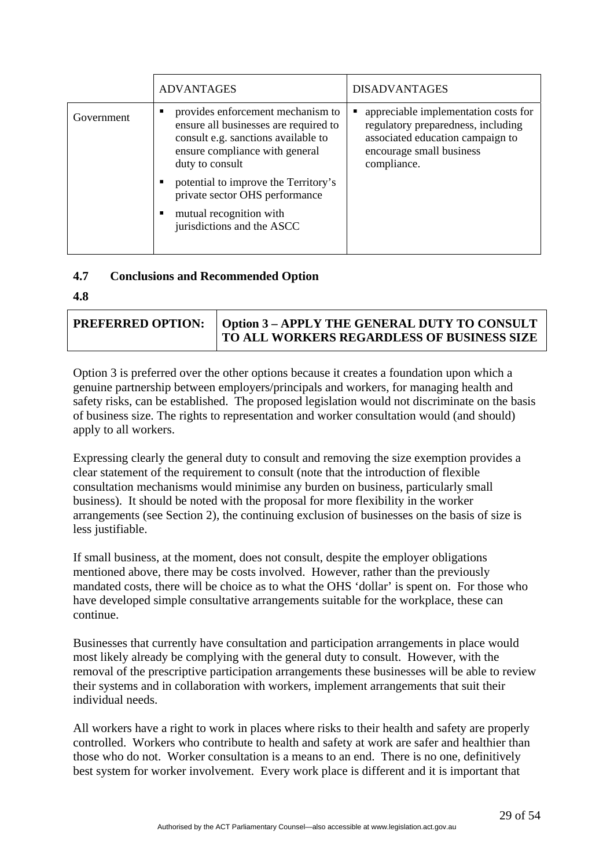|            | <b>ADVANTAGES</b>                                                                                                                                                      | <b>DISADVANTAGES</b>                                                                                                                                      |
|------------|------------------------------------------------------------------------------------------------------------------------------------------------------------------------|-----------------------------------------------------------------------------------------------------------------------------------------------------------|
| Government | provides enforcement mechanism to<br>ensure all businesses are required to<br>consult e.g. sanctions available to<br>ensure compliance with general<br>duty to consult | appreciable implementation costs for<br>regulatory preparedness, including<br>associated education campaign to<br>encourage small business<br>compliance. |
|            | potential to improve the Territory's<br>private sector OHS performance<br>mutual recognition with<br>jurisdictions and the ASCC                                        |                                                                                                                                                           |
|            |                                                                                                                                                                        |                                                                                                                                                           |

#### **4.7 Conclusions and Recommended Option**

**4.8**

| <b>PREFERRED OPTION:   Option 3 - APPLY THE GENERAL DUTY TO CONSULT</b> |  |
|-------------------------------------------------------------------------|--|
| <b>TO ALL WORKERS REGARDLESS OF BUSINESS SIZE</b>                       |  |

Option 3 is preferred over the other options because it creates a foundation upon which a genuine partnership between employers/principals and workers, for managing health and safety risks, can be established. The proposed legislation would not discriminate on the basis of business size. The rights to representation and worker consultation would (and should) apply to all workers.

Expressing clearly the general duty to consult and removing the size exemption provides a clear statement of the requirement to consult (note that the introduction of flexible consultation mechanisms would minimise any burden on business, particularly small business). It should be noted with the proposal for more flexibility in the worker arrangements (see Section 2), the continuing exclusion of businesses on the basis of size is less justifiable.

If small business, at the moment, does not consult, despite the employer obligations mentioned above, there may be costs involved. However, rather than the previously mandated costs, there will be choice as to what the OHS 'dollar' is spent on. For those who have developed simple consultative arrangements suitable for the workplace, these can continue.

Businesses that currently have consultation and participation arrangements in place would most likely already be complying with the general duty to consult. However, with the removal of the prescriptive participation arrangements these businesses will be able to review their systems and in collaboration with workers, implement arrangements that suit their individual needs.

All workers have a right to work in places where risks to their health and safety are properly controlled. Workers who contribute to health and safety at work are safer and healthier than those who do not. Worker consultation is a means to an end. There is no one, definitively best system for worker involvement. Every work place is different and it is important that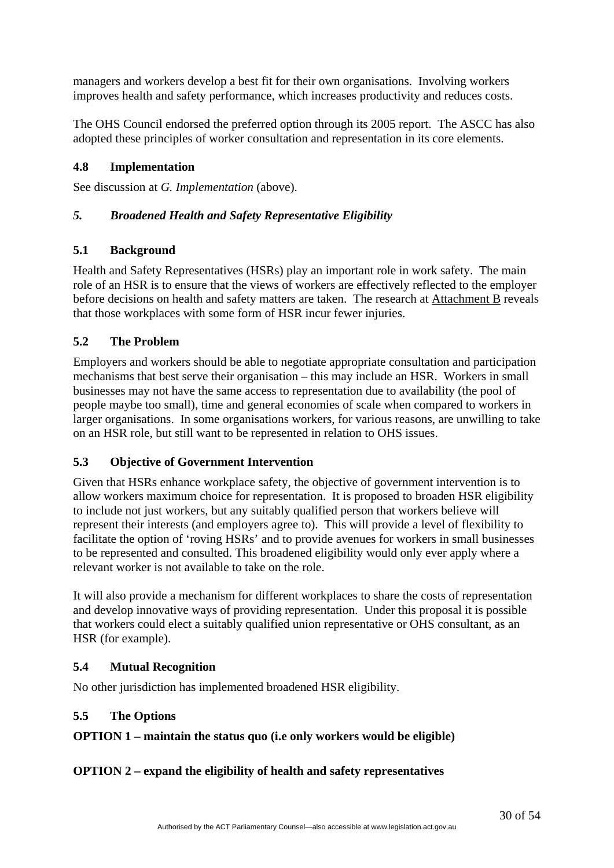<span id="page-29-0"></span>managers and workers develop a best fit for their own organisations. Involving workers improves health and safety performance, which increases productivity and reduces costs.

The OHS Council endorsed the preferred option through its 2005 report. The ASCC has also adopted these principles of worker consultation and representation in its core elements.

# **4.8 Implementation**

See discussion at *G. Implementation* (above).

# *5. Broadened Health and Safety Representative Eligibility*

# **5.1 Background**

Health and Safety Representatives (HSRs) play an important role in work safety. The main role of an HSR is to ensure that the views of workers are effectively reflected to the employer before decisions on health and safety matters are taken. The research at Attachment B reveals that those workplaces with some form of HSR incur fewer injuries.

# **5.2 The Problem**

Employers and workers should be able to negotiate appropriate consultation and participation mechanisms that best serve their organisation – this may include an HSR. Workers in small businesses may not have the same access to representation due to availability (the pool of people maybe too small), time and general economies of scale when compared to workers in larger organisations. In some organisations workers, for various reasons, are unwilling to take on an HSR role, but still want to be represented in relation to OHS issues.

# **5.3 Objective of Government Intervention**

Given that HSRs enhance workplace safety, the objective of government intervention is to allow workers maximum choice for representation. It is proposed to broaden HSR eligibility to include not just workers, but any suitably qualified person that workers believe will represent their interests (and employers agree to). This will provide a level of flexibility to facilitate the option of 'roving HSRs' and to provide avenues for workers in small businesses to be represented and consulted. This broadened eligibility would only ever apply where a relevant worker is not available to take on the role.

It will also provide a mechanism for different workplaces to share the costs of representation and develop innovative ways of providing representation. Under this proposal it is possible that workers could elect a suitably qualified union representative or OHS consultant, as an HSR (for example).

# **5.4 Mutual Recognition**

No other jurisdiction has implemented broadened HSR eligibility.

# **5.5 The Options**

# **OPTION 1 – maintain the status quo (i.e only workers would be eligible)**

# **OPTION 2 – expand the eligibility of health and safety representatives**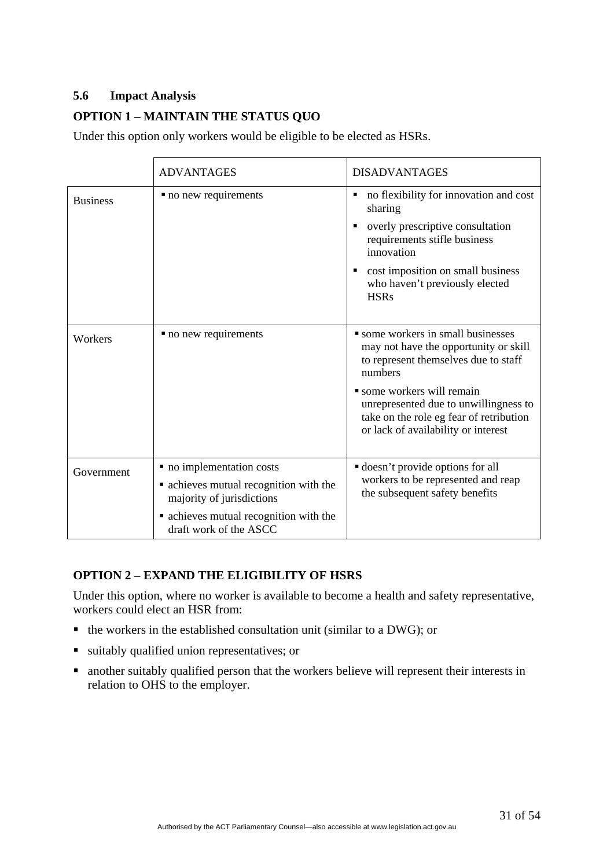# **5.6 Impact Analysis**

# **OPTION 1 – MAINTAIN THE STATUS QUO**

Under this option only workers would be eligible to be elected as HSRs.

|                 | <b>ADVANTAGES</b>                                                                                                                                                    | <b>DISADVANTAGES</b>                                                                                                                                                                                                                                                                  |
|-----------------|----------------------------------------------------------------------------------------------------------------------------------------------------------------------|---------------------------------------------------------------------------------------------------------------------------------------------------------------------------------------------------------------------------------------------------------------------------------------|
| <b>Business</b> | • no new requirements                                                                                                                                                | no flexibility for innovation and cost<br>٠<br>sharing<br>overly prescriptive consultation<br>п<br>requirements stifle business<br>innovation<br>cost imposition on small business<br>who haven't previously elected<br><b>HSRs</b>                                                   |
| Workers         | • no new requirements                                                                                                                                                | some workers in small businesses<br>may not have the opportunity or skill<br>to represent themselves due to staff<br>numbers<br>• some workers will remain<br>unrepresented due to unwillingness to<br>take on the role eg fear of retribution<br>or lack of availability or interest |
| Government      | • no implementation costs<br>• achieves mutual recognition with the<br>majority of jurisdictions<br>• achieves mutual recognition with the<br>draft work of the ASCC | <b>doesn't</b> provide options for all<br>workers to be represented and reap<br>the subsequent safety benefits                                                                                                                                                                        |

# **OPTION 2 – EXPAND THE ELIGIBILITY OF HSRS**

Under this option, where no worker is available to become a health and safety representative, workers could elect an HSR from:

- $\blacksquare$  the workers in the established consultation unit (similar to a DWG); or
- suitably qualified union representatives; or
- another suitably qualified person that the workers believe will represent their interests in relation to OHS to the employer.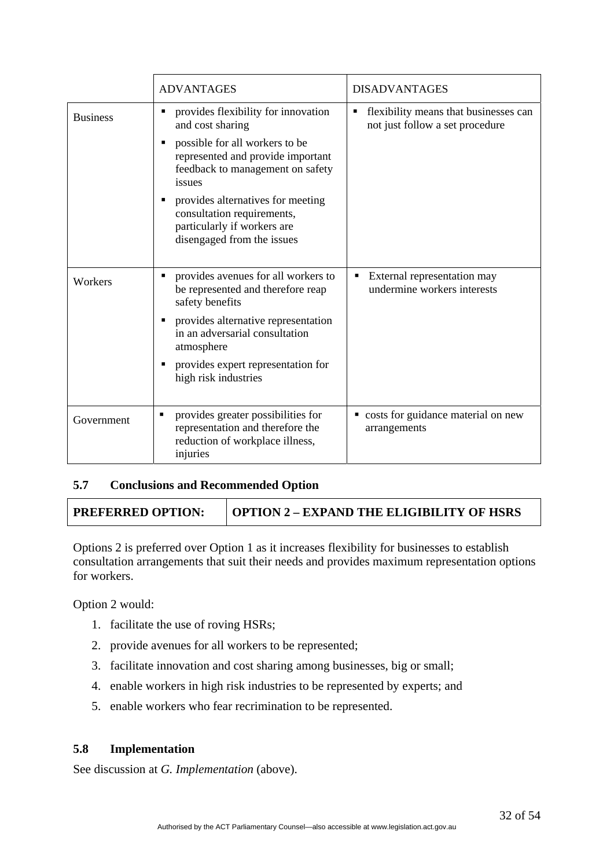|                 | <b>ADVANTAGES</b>                                                                                                            | <b>DISADVANTAGES</b>                                                          |
|-----------------|------------------------------------------------------------------------------------------------------------------------------|-------------------------------------------------------------------------------|
| <b>Business</b> | provides flexibility for innovation<br>and cost sharing                                                                      | flexibility means that businesses can<br>Ξ<br>not just follow a set procedure |
|                 | possible for all workers to be<br>represented and provide important<br>feedback to management on safety<br>issues            |                                                                               |
|                 | provides alternatives for meeting<br>consultation requirements,<br>particularly if workers are<br>disengaged from the issues |                                                                               |
| Workers         | provides avenues for all workers to<br>٠<br>be represented and therefore reap<br>safety benefits                             | External representation may<br>Е<br>undermine workers interests               |
|                 | provides alternative representation<br>in an adversarial consultation<br>atmosphere                                          |                                                                               |
|                 | provides expert representation for<br>high risk industries                                                                   |                                                                               |
| Government      | provides greater possibilities for<br>representation and therefore the<br>reduction of workplace illness,<br>injuries        | • costs for guidance material on new<br>arrangements                          |

# **5.7 Conclusions and Recommended Option**

**PREFERRED OPTION: OPTION 2 – EXPAND THE ELIGIBILITY OF HSRS** 

Options 2 is preferred over Option 1 as it increases flexibility for businesses to establish consultation arrangements that suit their needs and provides maximum representation options for workers.

Option 2 would:

- 1. facilitate the use of roving HSRs;
- 2. provide avenues for all workers to be represented;
- 3. facilitate innovation and cost sharing among businesses, big or small;
- 4. enable workers in high risk industries to be represented by experts; and
- 5. enable workers who fear recrimination to be represented.

#### **5.8 Implementation**

See discussion at *G. Implementation* (above).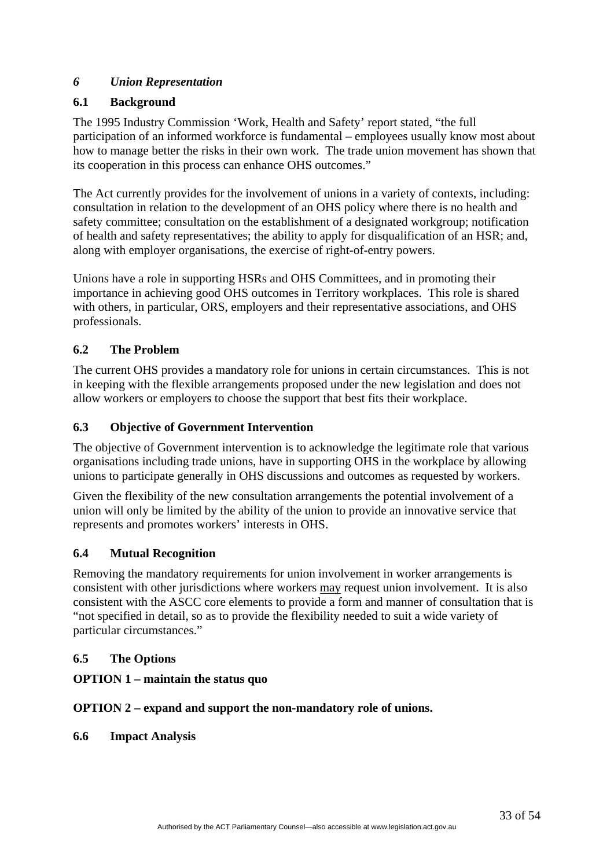# <span id="page-32-0"></span>*6 Union Representation*

# **6.1 Background**

The 1995 Industry Commission 'Work, Health and Safety' report stated, "the full participation of an informed workforce is fundamental – employees usually know most about how to manage better the risks in their own work. The trade union movement has shown that its cooperation in this process can enhance OHS outcomes."

The Act currently provides for the involvement of unions in a variety of contexts, including: consultation in relation to the development of an OHS policy where there is no health and safety committee; consultation on the establishment of a designated workgroup; notification of health and safety representatives; the ability to apply for disqualification of an HSR; and, along with employer organisations, the exercise of right-of-entry powers.

Unions have a role in supporting HSRs and OHS Committees, and in promoting their importance in achieving good OHS outcomes in Territory workplaces. This role is shared with others, in particular, ORS, employers and their representative associations, and OHS professionals.

# **6.2 The Problem**

The current OHS provides a mandatory role for unions in certain circumstances. This is not in keeping with the flexible arrangements proposed under the new legislation and does not allow workers or employers to choose the support that best fits their workplace.

# **6.3 Objective of Government Intervention**

The objective of Government intervention is to acknowledge the legitimate role that various organisations including trade unions, have in supporting OHS in the workplace by allowing unions to participate generally in OHS discussions and outcomes as requested by workers.

Given the flexibility of the new consultation arrangements the potential involvement of a union will only be limited by the ability of the union to provide an innovative service that represents and promotes workers' interests in OHS.

# **6.4 Mutual Recognition**

Removing the mandatory requirements for union involvement in worker arrangements is consistent with other jurisdictions where workers may request union involvement. It is also consistent with the ASCC core elements to provide a form and manner of consultation that is "not specified in detail, so as to provide the flexibility needed to suit a wide variety of particular circumstances."

# **6.5 The Options**

# **OPTION 1 – maintain the status quo**

# **OPTION 2 – expand and support the non-mandatory role of unions.**

# **6.6 Impact Analysis**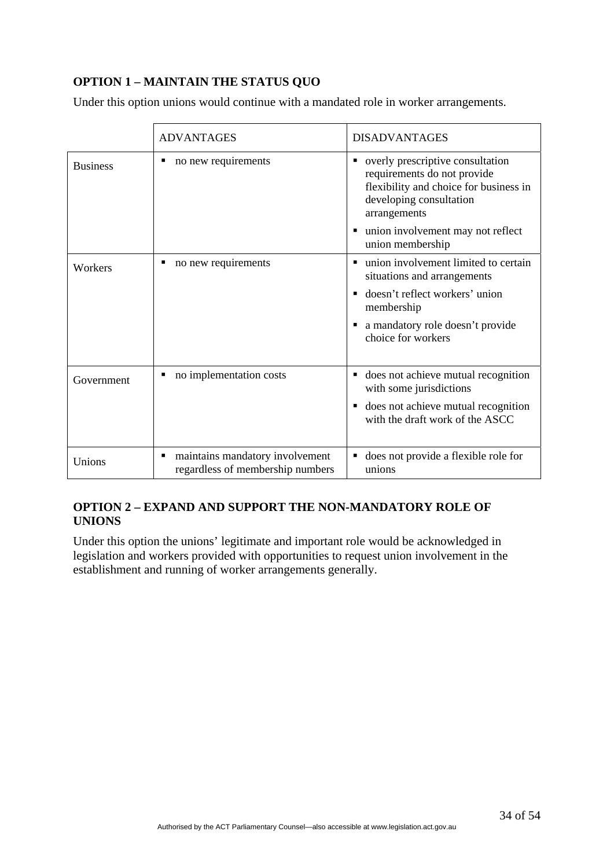# **OPTION 1 – MAINTAIN THE STATUS QUO**

Under this option unions would continue with a mandated role in worker arrangements.

|                 | <b>ADVANTAGES</b>                                                   | <b>DISADVANTAGES</b>                                                                                                                                      |
|-----------------|---------------------------------------------------------------------|-----------------------------------------------------------------------------------------------------------------------------------------------------------|
| <b>Business</b> | no new requirements                                                 | overly prescriptive consultation<br>п<br>requirements do not provide<br>flexibility and choice for business in<br>developing consultation<br>arrangements |
|                 |                                                                     | union involvement may not reflect<br>٠<br>union membership                                                                                                |
| Workers         | no new requirements                                                 | union involvement limited to certain<br>п<br>situations and arrangements                                                                                  |
|                 |                                                                     | doesn't reflect workers' union<br>٠<br>membership                                                                                                         |
|                 |                                                                     | a mandatory role doesn't provide<br>٠<br>choice for workers                                                                                               |
| Government      | no implementation costs                                             | does not achieve mutual recognition<br>٠<br>with some jurisdictions                                                                                       |
|                 |                                                                     | does not achieve mutual recognition<br>п<br>with the draft work of the ASCC                                                                               |
| Unions          | maintains mandatory involvement<br>regardless of membership numbers | does not provide a flexible role for<br>п<br>unions                                                                                                       |

# **OPTION 2 – EXPAND AND SUPPORT THE NON-MANDATORY ROLE OF UNIONS**

Under this option the unions' legitimate and important role would be acknowledged in legislation and workers provided with opportunities to request union involvement in the establishment and running of worker arrangements generally.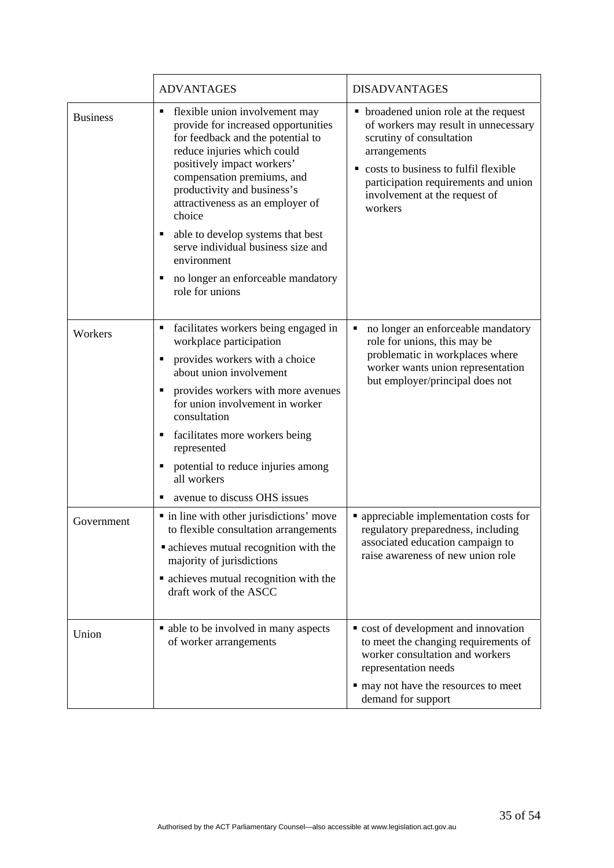|                 | <b>ADVANTAGES</b>                                                                                                                                                                                                                                                                                                                                                                                                                     | <b>DISADVANTAGES</b>                                                                                                                                                                                                                                     |
|-----------------|---------------------------------------------------------------------------------------------------------------------------------------------------------------------------------------------------------------------------------------------------------------------------------------------------------------------------------------------------------------------------------------------------------------------------------------|----------------------------------------------------------------------------------------------------------------------------------------------------------------------------------------------------------------------------------------------------------|
| <b>Business</b> | flexible union involvement may<br>provide for increased opportunities<br>for feedback and the potential to<br>reduce injuries which could<br>positively impact workers'<br>compensation premiums, and<br>productivity and business's<br>attractiveness as an employer of<br>choice<br>able to develop systems that best<br>serve individual business size and<br>environment<br>no longer an enforceable mandatory<br>role for unions | broadened union role at the request<br>٠<br>of workers may result in unnecessary<br>scrutiny of consultation<br>arrangements<br>costs to business to fulfil flexible<br>participation requirements and union<br>involvement at the request of<br>workers |
| Workers         | facilitates workers being engaged in<br>workplace participation<br>provides workers with a choice<br>п<br>about union involvement<br>provides workers with more avenues<br>for union involvement in worker<br>consultation<br>facilitates more workers being<br>represented<br>potential to reduce injuries among<br>all workers<br>avenue to discuss OHS issues                                                                      | no longer an enforceable mandatory<br>Е<br>role for unions, this may be<br>problematic in workplaces where<br>worker wants union representation<br>but employer/principal does not                                                                       |
| Government      | · in line with other jurisdictions' move<br>to flexible consultation arrangements<br>• achieves mutual recognition with the<br>majority of jurisdictions<br>• achieves mutual recognition with the<br>draft work of the ASCC                                                                                                                                                                                                          | • appreciable implementation costs for<br>regulatory preparedness, including<br>associated education campaign to<br>raise awareness of new union role                                                                                                    |
| Union           | • able to be involved in many aspects<br>of worker arrangements                                                                                                                                                                                                                                                                                                                                                                       | • cost of development and innovation<br>to meet the changing requirements of<br>worker consultation and workers<br>representation needs<br>• may not have the resources to meet<br>demand for support                                                    |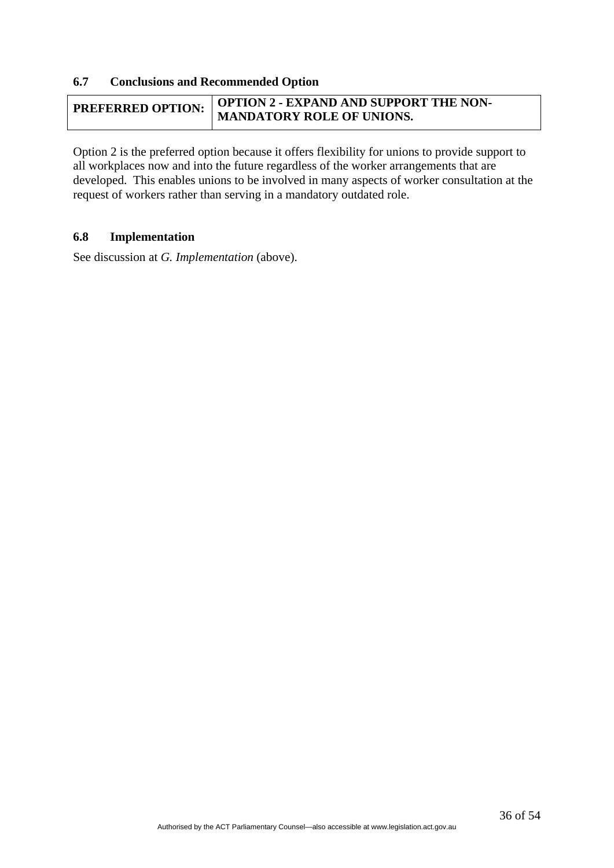#### **6.7 Conclusions and Recommended Option**

| <b>PREFERRED OPTION:</b> | OPTION 2 - EXPAND AND SUPPORT THE NON- |
|--------------------------|----------------------------------------|
|                          | MANDATORY ROLE OF UNIONS.              |

Option 2 is the preferred option because it offers flexibility for unions to provide support to all workplaces now and into the future regardless of the worker arrangements that are developed. This enables unions to be involved in many aspects of worker consultation at the request of workers rather than serving in a mandatory outdated role.

#### **6.8 Implementation**

See discussion at *G. Implementation* (above).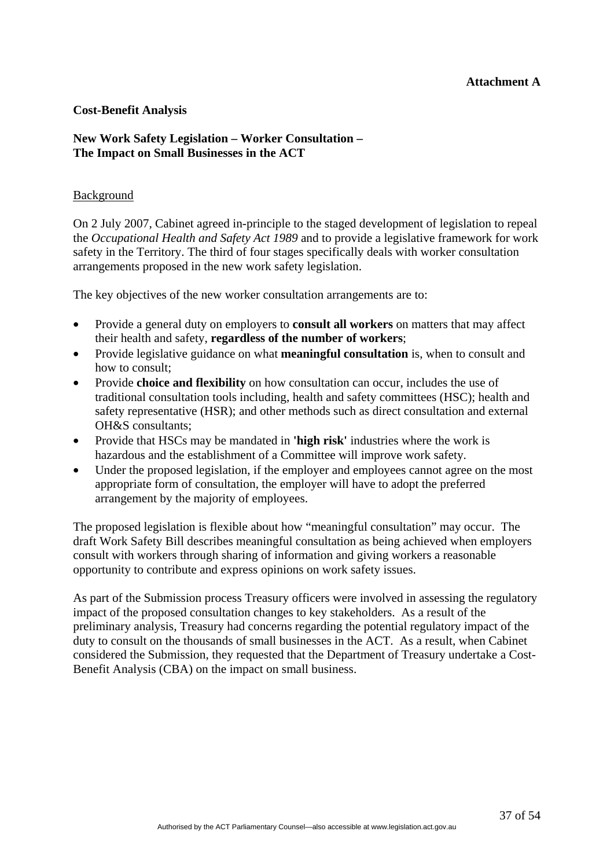#### **Attachment A**

#### **Cost-Benefit Analysis**

#### **New Work Safety Legislation – Worker Consultation – The Impact on Small Businesses in the ACT**

#### Background

On 2 July 2007, Cabinet agreed in-principle to the staged development of legislation to repeal the *Occupational Health and Safety Act 1989* and to provide a legislative framework for work safety in the Territory. The third of four stages specifically deals with worker consultation arrangements proposed in the new work safety legislation.

The key objectives of the new worker consultation arrangements are to:

- Provide a general duty on employers to **consult all workers** on matters that may affect their health and safety, **regardless of the number of workers**;
- Provide legislative guidance on what **meaningful consultation** is, when to consult and how to consult;
- Provide **choice and flexibility** on how consultation can occur, includes the use of traditional consultation tools including, health and safety committees (HSC); health and safety representative (HSR); and other methods such as direct consultation and external OH&S consultants;
- Provide that HSCs may be mandated in **'high risk'** industries where the work is hazardous and the establishment of a Committee will improve work safety.
- Under the proposed legislation, if the employer and employees cannot agree on the most appropriate form of consultation, the employer will have to adopt the preferred arrangement by the majority of employees.

The proposed legislation is flexible about how "meaningful consultation" may occur. The draft Work Safety Bill describes meaningful consultation as being achieved when employers consult with workers through sharing of information and giving workers a reasonable opportunity to contribute and express opinions on work safety issues.

As part of the Submission process Treasury officers were involved in assessing the regulatory impact of the proposed consultation changes to key stakeholders. As a result of the preliminary analysis, Treasury had concerns regarding the potential regulatory impact of the duty to consult on the thousands of small businesses in the ACT. As a result, when Cabinet considered the Submission, they requested that the Department of Treasury undertake a Cost-Benefit Analysis (CBA) on the impact on small business.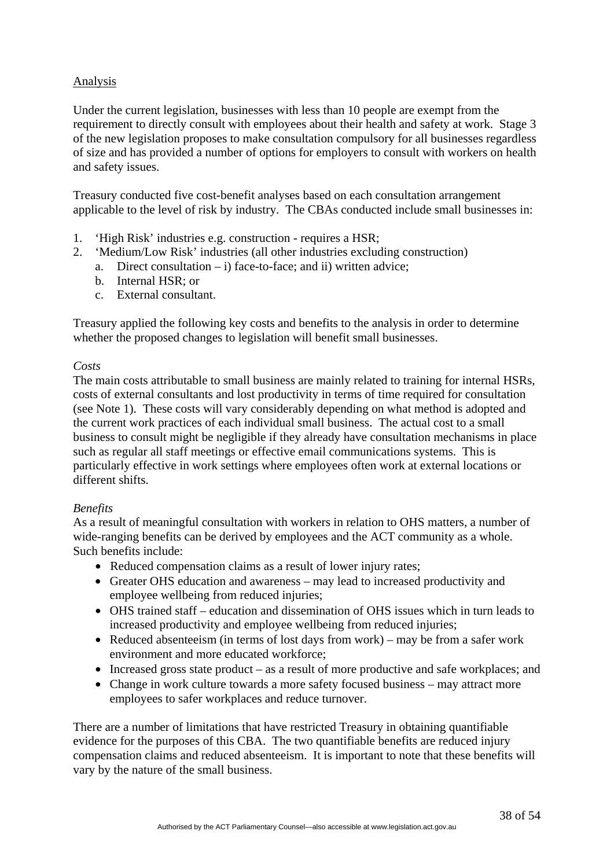# Analysis

Under the current legislation, businesses with less than 10 people are exempt from the requirement to directly consult with employees about their health and safety at work. Stage 3 of the new legislation proposes to make consultation compulsory for all businesses regardless of size and has provided a number of options for employers to consult with workers on health and safety issues.

Treasury conducted five cost-benefit analyses based on each consultation arrangement applicable to the level of risk by industry. The CBAs conducted include small businesses in:

- 1. 'High Risk' industries e.g. construction requires a HSR;
- 2. 'Medium/Low Risk' industries (all other industries excluding construction)
	- a. Direct consultation  $i$ ) face-to-face; and ii) written advice:
	- b. Internal HSR; or
	- c. External consultant.

Treasury applied the following key costs and benefits to the analysis in order to determine whether the proposed changes to legislation will benefit small businesses.

#### *Costs*

The main costs attributable to small business are mainly related to training for internal HSRs, costs of external consultants and lost productivity in terms of time required for consultation (see Note 1). These costs will vary considerably depending on what method is adopted and the current work practices of each individual small business. The actual cost to a small business to consult might be negligible if they already have consultation mechanisms in place such as regular all staff meetings or effective email communications systems. This is particularly effective in work settings where employees often work at external locations or different shifts.

#### *Benefits*

As a result of meaningful consultation with workers in relation to OHS matters, a number of wide-ranging benefits can be derived by employees and the ACT community as a whole. Such benefits include:

- Reduced compensation claims as a result of lower injury rates;
- Greater OHS education and awareness may lead to increased productivity and employee wellbeing from reduced injuries;
- OHS trained staff education and dissemination of OHS issues which in turn leads to increased productivity and employee wellbeing from reduced injuries;
- Reduced absenteeism (in terms of lost days from work) may be from a safer work environment and more educated workforce;
- Increased gross state product as a result of more productive and safe workplaces; and
- Change in work culture towards a more safety focused business may attract more employees to safer workplaces and reduce turnover.

There are a number of limitations that have restricted Treasury in obtaining quantifiable evidence for the purposes of this CBA. The two quantifiable benefits are reduced injury compensation claims and reduced absenteeism. It is important to note that these benefits will vary by the nature of the small business.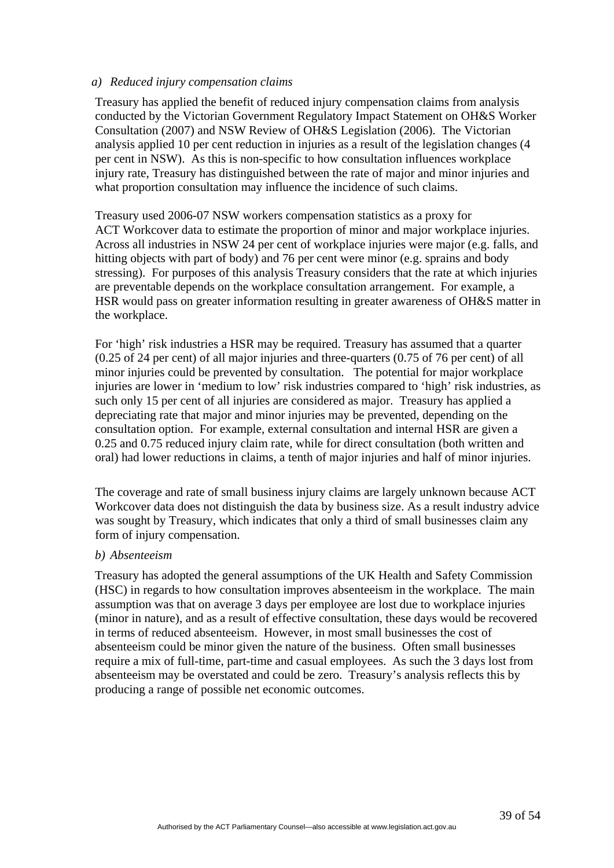#### *a) Reduced injury compensation claims*

Treasury has applied the benefit of reduced injury compensation claims from analysis conducted by the Victorian Government Regulatory Impact Statement on OH&S Worker Consultation (2007) and NSW Review of OH&S Legislation (2006). The Victorian analysis applied 10 per cent reduction in injuries as a result of the legislation changes (4 per cent in NSW). As this is non-specific to how consultation influences workplace injury rate, Treasury has distinguished between the rate of major and minor injuries and what proportion consultation may influence the incidence of such claims.

Treasury used 2006-07 NSW workers compensation statistics as a proxy for ACT Workcover data to estimate the proportion of minor and major workplace injuries. Across all industries in NSW 24 per cent of workplace injuries were major (e.g. falls, and hitting objects with part of body) and 76 per cent were minor (e.g. sprains and body stressing). For purposes of this analysis Treasury considers that the rate at which injuries are preventable depends on the workplace consultation arrangement. For example, a HSR would pass on greater information resulting in greater awareness of OH&S matter in the workplace.

For 'high' risk industries a HSR may be required. Treasury has assumed that a quarter (0.25 of 24 per cent) of all major injuries and three-quarters (0.75 of 76 per cent) of all minor injuries could be prevented by consultation. The potential for major workplace injuries are lower in 'medium to low' risk industries compared to 'high' risk industries, as such only 15 per cent of all injuries are considered as major. Treasury has applied a depreciating rate that major and minor injuries may be prevented, depending on the consultation option. For example, external consultation and internal HSR are given a 0.25 and 0.75 reduced injury claim rate, while for direct consultation (both written and oral) had lower reductions in claims, a tenth of major injuries and half of minor injuries.

The coverage and rate of small business injury claims are largely unknown because ACT Workcover data does not distinguish the data by business size. As a result industry advice was sought by Treasury, which indicates that only a third of small businesses claim any form of injury compensation.

#### *b) Absenteeism*

Treasury has adopted the general assumptions of the UK Health and Safety Commission (HSC) in regards to how consultation improves absenteeism in the workplace. The main assumption was that on average 3 days per employee are lost due to workplace injuries (minor in nature), and as a result of effective consultation, these days would be recovered in terms of reduced absenteeism. However, in most small businesses the cost of absenteeism could be minor given the nature of the business. Often small businesses require a mix of full-time, part-time and casual employees. As such the 3 days lost from absenteeism may be overstated and could be zero. Treasury's analysis reflects this by producing a range of possible net economic outcomes.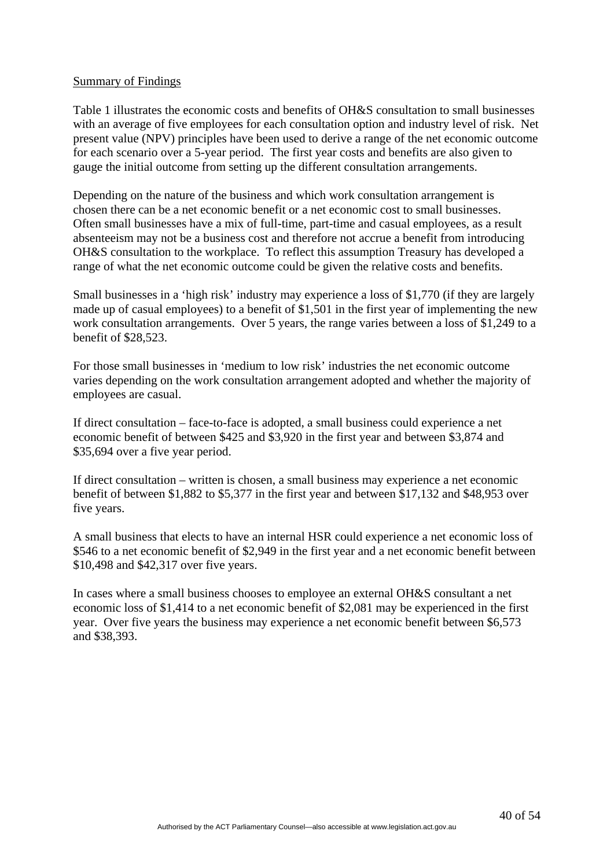#### Summary of Findings

Table 1 illustrates the economic costs and benefits of OH&S consultation to small businesses with an average of five employees for each consultation option and industry level of risk. Net present value (NPV) principles have been used to derive a range of the net economic outcome for each scenario over a 5-year period. The first year costs and benefits are also given to gauge the initial outcome from setting up the different consultation arrangements.

Depending on the nature of the business and which work consultation arrangement is chosen there can be a net economic benefit or a net economic cost to small businesses. Often small businesses have a mix of full-time, part-time and casual employees, as a result absenteeism may not be a business cost and therefore not accrue a benefit from introducing OH&S consultation to the workplace. To reflect this assumption Treasury has developed a range of what the net economic outcome could be given the relative costs and benefits.

Small businesses in a 'high risk' industry may experience a loss of \$1,770 (if they are largely made up of casual employees) to a benefit of \$1,501 in the first year of implementing the new work consultation arrangements. Over 5 years, the range varies between a loss of \$1,249 to a benefit of \$28,523.

For those small businesses in 'medium to low risk' industries the net economic outcome varies depending on the work consultation arrangement adopted and whether the majority of employees are casual.

If direct consultation – face-to-face is adopted, a small business could experience a net economic benefit of between \$425 and \$3,920 in the first year and between \$3,874 and \$35,694 over a five year period.

If direct consultation – written is chosen, a small business may experience a net economic benefit of between \$1,882 to \$5,377 in the first year and between \$17,132 and \$48,953 over five years.

A small business that elects to have an internal HSR could experience a net economic loss of \$546 to a net economic benefit of \$2,949 in the first year and a net economic benefit between \$10,498 and \$42,317 over five years.

In cases where a small business chooses to employee an external OH&S consultant a net economic loss of \$1,414 to a net economic benefit of \$2,081 may be experienced in the first year. Over five years the business may experience a net economic benefit between \$6,573 and \$38,393.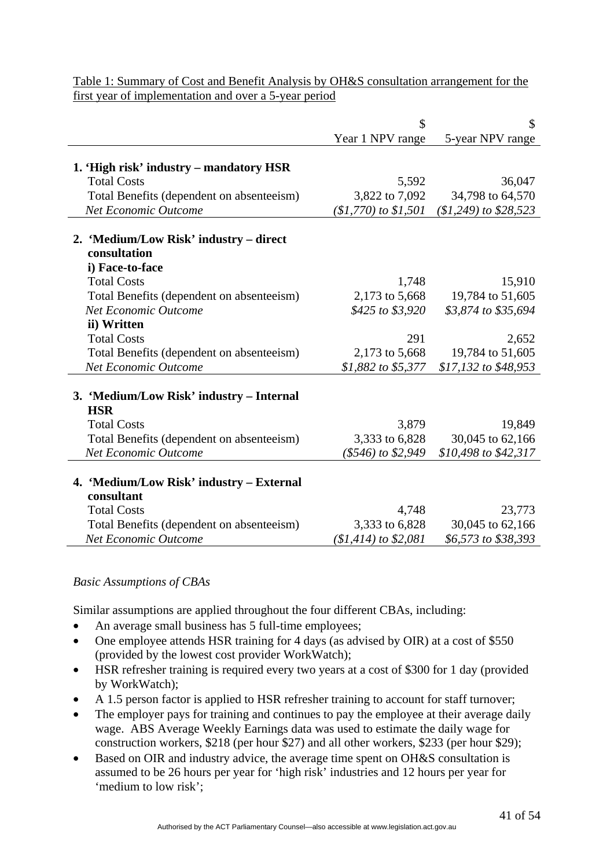|                                           | \$                     | \$                      |
|-------------------------------------------|------------------------|-------------------------|
|                                           | Year 1 NPV range       | 5-year NPV range        |
|                                           |                        |                         |
| 1. 'High risk' industry – mandatory HSR   |                        |                         |
| <b>Total Costs</b>                        | 5,592                  | 36,047                  |
| Total Benefits (dependent on absenteeism) | 3,822 to 7,092         | 34,798 to 64,570        |
| <b>Net Economic Outcome</b>               | $($1,770)$ to $$1,501$ | $($1,249)$ to $$28,523$ |
| 2. 'Medium/Low Risk' industry – direct    |                        |                         |
| consultation                              |                        |                         |
| i) Face-to-face                           |                        |                         |
| <b>Total Costs</b>                        | 1,748                  | 15,910                  |
| Total Benefits (dependent on absenteeism) | 2,173 to 5,668         | 19,784 to 51,605        |
| <b>Net Economic Outcome</b>               | \$425 to \$3,920       | \$3,874 to \$35,694     |
| ii) Written                               |                        |                         |
| <b>Total Costs</b>                        | 291                    | 2,652                   |
| Total Benefits (dependent on absenteeism) | 2,173 to 5,668         | 19,784 to 51,605        |
| <b>Net Economic Outcome</b>               | \$1,882 to \$5,377     | \$17,132 to \$48,953    |
|                                           |                        |                         |
| 3. 'Medium/Low Risk' industry – Internal  |                        |                         |
| <b>HSR</b>                                |                        |                         |
| <b>Total Costs</b>                        | 3,879                  | 19,849                  |
| Total Benefits (dependent on absenteeism) | 3,333 to 6,828         | 30,045 to 62,166        |
| <b>Net Economic Outcome</b>               | (\$546) to \$2,949     | \$10,498 to \$42,317    |
|                                           |                        |                         |
| 4. 'Medium/Low Risk' industry – External  |                        |                         |
| consultant                                |                        |                         |
| <b>Total Costs</b>                        | 4,748                  | 23,773                  |
| Total Benefits (dependent on absenteeism) | 3,333 to 6,828         | 30,045 to 62,166        |
| Net Economic Outcome                      | $$1,414$ ) to \$2,081  | \$6,573 to \$38,393     |

Table 1: Summary of Cost and Benefit Analysis by OH&S consultation arrangement for the first year of implementation and over a 5-year period

#### *Basic Assumptions of CBAs*

Similar assumptions are applied throughout the four different CBAs, including:

- An average small business has 5 full-time employees;
- One employee attends HSR training for 4 days (as advised by OIR) at a cost of \$550 (provided by the lowest cost provider WorkWatch);
- HSR refresher training is required every two years at a cost of \$300 for 1 day (provided by WorkWatch);
- A 1.5 person factor is applied to HSR refresher training to account for staff turnover;
- The employer pays for training and continues to pay the employee at their average daily wage. ABS Average Weekly Earnings data was used to estimate the daily wage for construction workers, \$218 (per hour \$27) and all other workers, \$233 (per hour \$29);
- Based on OIR and industry advice, the average time spent on OH&S consultation is assumed to be 26 hours per year for 'high risk' industries and 12 hours per year for 'medium to low risk';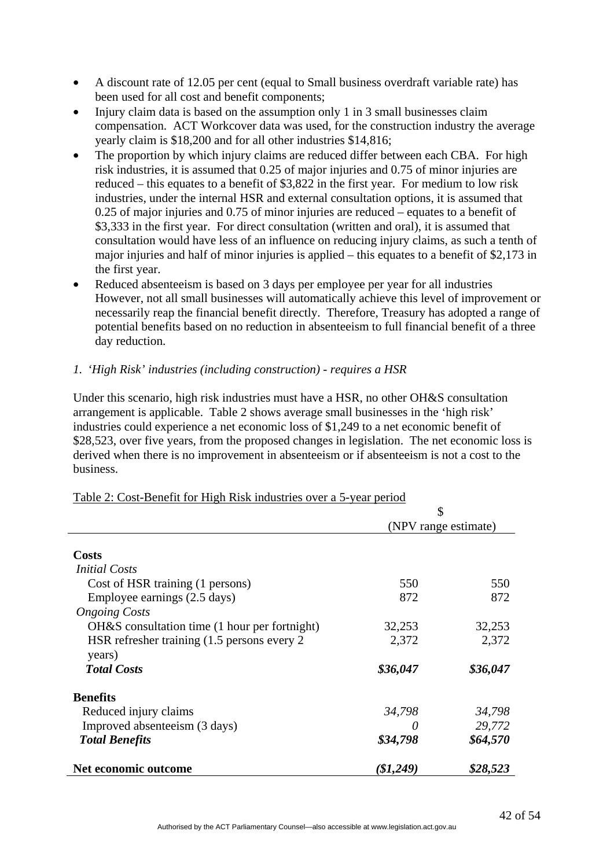- A discount rate of 12.05 per cent (equal to Small business overdraft variable rate) has been used for all cost and benefit components;
- Injury claim data is based on the assumption only 1 in 3 small businesses claim compensation. ACT Workcover data was used, for the construction industry the average yearly claim is \$18,200 and for all other industries \$14,816;
- The proportion by which injury claims are reduced differ between each CBA. For high risk industries, it is assumed that 0.25 of major injuries and 0.75 of minor injuries are reduced – this equates to a benefit of \$3,822 in the first year. For medium to low risk industries, under the internal HSR and external consultation options, it is assumed that 0.25 of major injuries and 0.75 of minor injuries are reduced – equates to a benefit of \$3,333 in the first year. For direct consultation (written and oral), it is assumed that consultation would have less of an influence on reducing injury claims, as such a tenth of major injuries and half of minor injuries is applied – this equates to a benefit of \$2,173 in the first year.
- Reduced absenteeism is based on 3 days per employee per year for all industries However, not all small businesses will automatically achieve this level of improvement or necessarily reap the financial benefit directly. Therefore, Treasury has adopted a range of potential benefits based on no reduction in absenteeism to full financial benefit of a three day reduction.

# *1. 'High Risk' industries (including construction) - requires a HSR*

Under this scenario, high risk industries must have a HSR, no other OH&S consultation arrangement is applicable. Table 2 shows average small businesses in the 'high risk' industries could experience a net economic loss of \$1,249 to a net economic benefit of \$28,523, over five years, from the proposed changes in legislation. The net economic loss is derived when there is no improvement in absenteeism or if absenteeism is not a cost to the business.

|                                               | \$                   |          |
|-----------------------------------------------|----------------------|----------|
|                                               | (NPV range estimate) |          |
|                                               |                      |          |
| <b>Costs</b>                                  |                      |          |
| <i>Initial Costs</i>                          |                      |          |
| Cost of HSR training (1 persons)              | 550                  | 550      |
| Employee earnings (2.5 days)                  | 872                  | 872      |
| <b>Ongoing Costs</b>                          |                      |          |
| OH&S consultation time (1 hour per fortnight) | 32,253               | 32,253   |
| HSR refresher training (1.5 persons every 2)  | 2,372                | 2,372    |
| years)                                        |                      |          |
| <b>Total Costs</b>                            | \$36,047             | \$36,047 |
| <b>Benefits</b>                               |                      |          |
| Reduced injury claims                         | 34,798               | 34,798   |
| Improved absenteeism (3 days)                 |                      | 29,772   |
| <b>Total Benefits</b>                         | \$34,798             | \$64,570 |
| Net economic outcome                          | $\$1,249)$           | \$28,523 |

#### Table 2: Cost-Benefit for High Risk industries over a 5-year period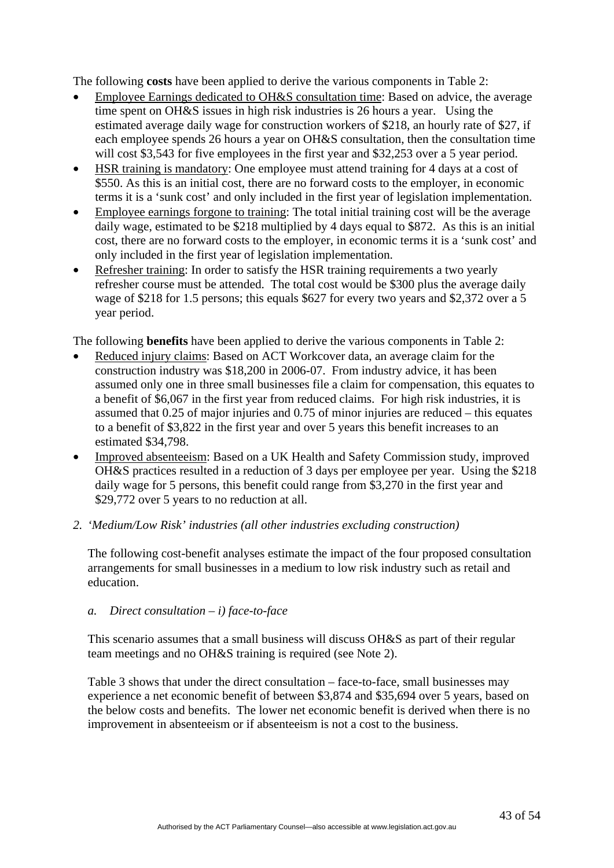The following **costs** have been applied to derive the various components in Table 2:

- Employee Earnings dedicated to OH&S consultation time: Based on advice, the average time spent on OH&S issues in high risk industries is 26 hours a year. Using the estimated average daily wage for construction workers of \$218, an hourly rate of \$27, if each employee spends 26 hours a year on OH&S consultation, then the consultation time will cost \$3,543 for five employees in the first year and \$32,253 over a 5 year period.
- HSR training is mandatory: One employee must attend training for 4 days at a cost of \$550. As this is an initial cost, there are no forward costs to the employer, in economic terms it is a 'sunk cost' and only included in the first year of legislation implementation.
- Employee earnings forgone to training: The total initial training cost will be the average daily wage, estimated to be \$218 multiplied by 4 days equal to \$872. As this is an initial cost, there are no forward costs to the employer, in economic terms it is a 'sunk cost' and only included in the first year of legislation implementation.
- Refresher training: In order to satisfy the HSR training requirements a two yearly refresher course must be attended. The total cost would be \$300 plus the average daily wage of \$218 for 1.5 persons; this equals \$627 for every two years and \$2,372 over a 5 year period.

The following **benefits** have been applied to derive the various components in Table 2:

- Reduced injury claims: Based on ACT Workcover data, an average claim for the construction industry was \$18,200 in 2006-07. From industry advice, it has been assumed only one in three small businesses file a claim for compensation, this equates to a benefit of \$6,067 in the first year from reduced claims. For high risk industries, it is assumed that 0.25 of major injuries and 0.75 of minor injuries are reduced – this equates to a benefit of \$3,822 in the first year and over 5 years this benefit increases to an estimated \$34,798.
- Improved absenteeism: Based on a UK Health and Safety Commission study, improved OH&S practices resulted in a reduction of 3 days per employee per year. Using the \$218 daily wage for 5 persons, this benefit could range from \$3,270 in the first year and \$29,772 over 5 years to no reduction at all.

#### *2. 'Medium/Low Risk' industries (all other industries excluding construction)*

The following cost-benefit analyses estimate the impact of the four proposed consultation arrangements for small businesses in a medium to low risk industry such as retail and education.

#### *a. Direct consultation – i) face-to-face*

This scenario assumes that a small business will discuss OH&S as part of their regular team meetings and no OH&S training is required (see Note 2).

Table 3 shows that under the direct consultation – face-to-face, small businesses may experience a net economic benefit of between \$3,874 and \$35,694 over 5 years, based on the below costs and benefits. The lower net economic benefit is derived when there is no improvement in absenteeism or if absenteeism is not a cost to the business.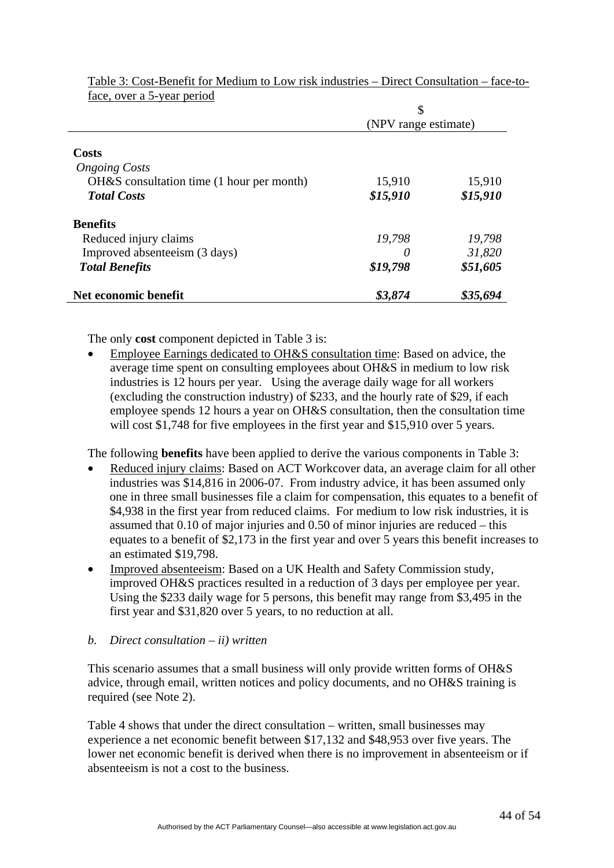|                                           | \$<br>(NPV range estimate) |          |
|-------------------------------------------|----------------------------|----------|
|                                           |                            |          |
|                                           |                            |          |
| Costs                                     |                            |          |
| <b>Ongoing Costs</b>                      |                            |          |
| OH&S consultation time (1 hour per month) | 15,910                     | 15,910   |
| <b>Total Costs</b>                        | \$15,910                   | \$15,910 |
| <b>Benefits</b>                           |                            |          |
| Reduced injury claims                     | 19,798                     | 19,798   |
| Improved absenteeism (3 days)             | $\theta$                   | 31,820   |
| <b>Total Benefits</b>                     | \$19,798                   | \$51,605 |
| Net economic benefit                      | \$3,874                    | \$35,694 |

Table 3: Cost-Benefit for Medium to Low risk industries – Direct Consultation – face-toface, over a 5-year period

The only **cost** component depicted in Table 3 is:

• Employee Earnings dedicated to OH&S consultation time: Based on advice, the average time spent on consulting employees about OH&S in medium to low risk industries is 12 hours per year. Using the average daily wage for all workers (excluding the construction industry) of \$233, and the hourly rate of \$29, if each employee spends 12 hours a year on OH&S consultation, then the consultation time will cost \$1,748 for five employees in the first year and \$15,910 over 5 years.

The following **benefits** have been applied to derive the various components in Table 3:

- Reduced injury claims: Based on ACT Workcover data, an average claim for all other industries was \$14,816 in 2006-07. From industry advice, it has been assumed only one in three small businesses file a claim for compensation, this equates to a benefit of \$4,938 in the first year from reduced claims. For medium to low risk industries, it is assumed that 0.10 of major injuries and 0.50 of minor injuries are reduced – this equates to a benefit of \$2,173 in the first year and over 5 years this benefit increases to an estimated \$19,798.
- Improved absenteeism: Based on a UK Health and Safety Commission study, improved OH&S practices resulted in a reduction of 3 days per employee per year. Using the \$233 daily wage for 5 persons, this benefit may range from \$3,495 in the first year and \$31,820 over 5 years, to no reduction at all.

#### *b. Direct consultation – ii) written*

This scenario assumes that a small business will only provide written forms of OH&S advice, through email, written notices and policy documents, and no OH&S training is required (see Note 2).

Table 4 shows that under the direct consultation – written, small businesses may experience a net economic benefit between \$17,132 and \$48,953 over five years. The lower net economic benefit is derived when there is no improvement in absenteeism or if absenteeism is not a cost to the business.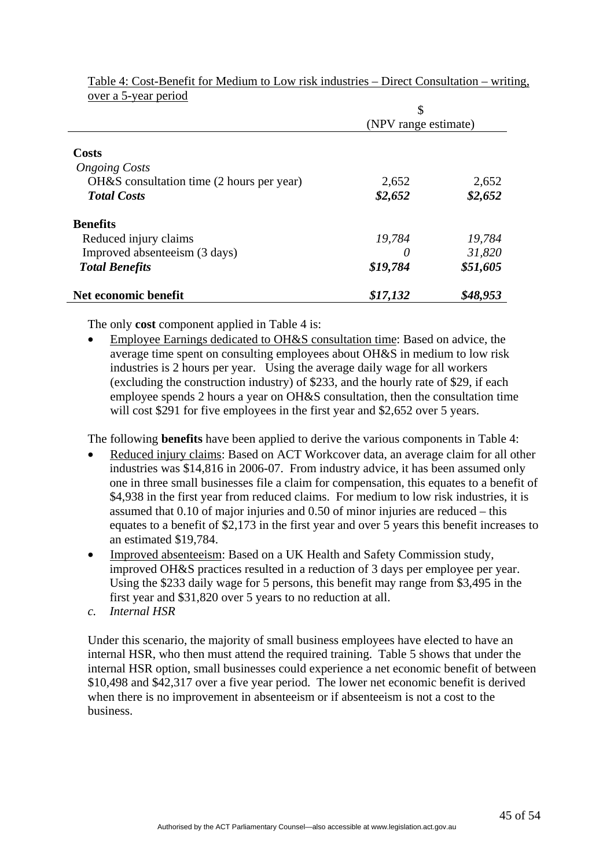|                                             | \$<br>(NPV range estimate) |          |
|---------------------------------------------|----------------------------|----------|
|                                             |                            |          |
|                                             |                            |          |
| Costs                                       |                            |          |
| <b>Ongoing Costs</b>                        |                            |          |
| $OH&S$ consultation time (2 hours per year) | 2,652                      | 2,652    |
| <b>Total Costs</b>                          | \$2,652                    | \$2,652  |
| <b>Benefits</b>                             |                            |          |
| Reduced injury claims                       | 19,784                     | 19,784   |
| Improved absenteeism (3 days)               | $\theta$                   | 31,820   |
| <b>Total Benefits</b>                       | \$19,784                   | \$51,605 |
| Net economic benefit                        | \$17,132                   | \$48,953 |

Table 4: Cost-Benefit for Medium to Low risk industries – Direct Consultation – writing, over a 5-year period

The only **cost** component applied in Table 4 is:

• Employee Earnings dedicated to OH&S consultation time: Based on advice, the average time spent on consulting employees about OH&S in medium to low risk industries is 2 hours per year. Using the average daily wage for all workers (excluding the construction industry) of \$233, and the hourly rate of \$29, if each employee spends 2 hours a year on OH&S consultation, then the consultation time will cost \$291 for five employees in the first year and \$2,652 over 5 years.

The following **benefits** have been applied to derive the various components in Table 4:

- Reduced injury claims: Based on ACT Workcover data, an average claim for all other industries was \$14,816 in 2006-07. From industry advice, it has been assumed only one in three small businesses file a claim for compensation, this equates to a benefit of \$4,938 in the first year from reduced claims. For medium to low risk industries, it is assumed that 0.10 of major injuries and 0.50 of minor injuries are reduced – this equates to a benefit of \$2,173 in the first year and over 5 years this benefit increases to an estimated \$19,784.
- Improved absenteeism: Based on a UK Health and Safety Commission study, improved OH&S practices resulted in a reduction of 3 days per employee per year. Using the \$233 daily wage for 5 persons, this benefit may range from \$3,495 in the first year and \$31,820 over 5 years to no reduction at all.
- *c. Internal HSR*

Under this scenario, the majority of small business employees have elected to have an internal HSR, who then must attend the required training. Table 5 shows that under the internal HSR option, small businesses could experience a net economic benefit of between \$10,498 and \$42,317 over a five year period. The lower net economic benefit is derived when there is no improvement in absenteeism or if absenteeism is not a cost to the business.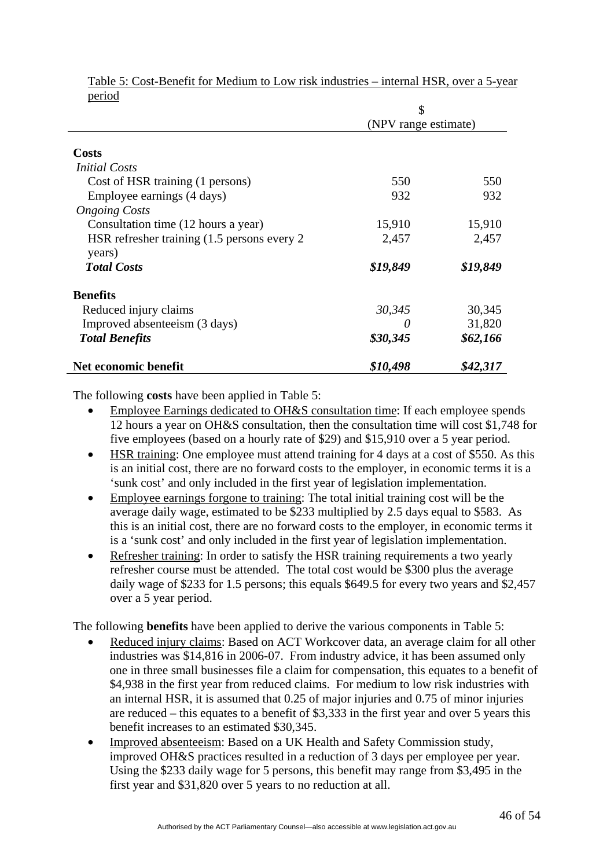|                                              | \$<br>(NPV range estimate) |          |
|----------------------------------------------|----------------------------|----------|
|                                              |                            |          |
|                                              |                            |          |
| <b>Costs</b>                                 |                            |          |
| <i>Initial Costs</i>                         |                            |          |
| Cost of HSR training (1 persons)             | 550                        | 550      |
| Employee earnings (4 days)                   | 932                        | 932      |
| <b>Ongoing Costs</b>                         |                            |          |
| Consultation time (12 hours a year)          | 15,910                     | 15,910   |
| HSR refresher training (1.5 persons every 2) | 2,457                      | 2,457    |
| years)                                       |                            |          |
| <b>Total Costs</b>                           | \$19,849                   | \$19,849 |
| <b>Benefits</b>                              |                            |          |
| Reduced injury claims                        | 30,345                     | 30,345   |
| Improved absenteeism (3 days)                |                            | 31,820   |
| <b>Total Benefits</b>                        | \$30,345                   | \$62,166 |
| Net economic benefit                         | \$10,498                   | \$42,317 |

Table 5: Cost-Benefit for Medium to Low risk industries – internal HSR, over a 5-year period

The following **costs** have been applied in Table 5:

- Employee Earnings dedicated to OH&S consultation time: If each employee spends 12 hours a year on OH&S consultation, then the consultation time will cost \$1,748 for five employees (based on a hourly rate of \$29) and \$15,910 over a 5 year period.
- HSR training: One employee must attend training for 4 days at a cost of \$550. As this is an initial cost, there are no forward costs to the employer, in economic terms it is a 'sunk cost' and only included in the first year of legislation implementation.
- Employee earnings forgone to training: The total initial training cost will be the average daily wage, estimated to be \$233 multiplied by 2.5 days equal to \$583. As this is an initial cost, there are no forward costs to the employer, in economic terms it is a 'sunk cost' and only included in the first year of legislation implementation.
- Refresher training: In order to satisfy the HSR training requirements a two yearly refresher course must be attended. The total cost would be \$300 plus the average daily wage of \$233 for 1.5 persons; this equals \$649.5 for every two years and \$2,457 over a 5 year period.

The following **benefits** have been applied to derive the various components in Table 5:

- Reduced injury claims: Based on ACT Workcover data, an average claim for all other industries was \$14,816 in 2006-07. From industry advice, it has been assumed only one in three small businesses file a claim for compensation, this equates to a benefit of \$4,938 in the first year from reduced claims. For medium to low risk industries with an internal HSR, it is assumed that 0.25 of major injuries and 0.75 of minor injuries are reduced – this equates to a benefit of \$3,333 in the first year and over 5 years this benefit increases to an estimated \$30,345.
- Improved absenteeism: Based on a UK Health and Safety Commission study, improved OH&S practices resulted in a reduction of 3 days per employee per year. Using the \$233 daily wage for 5 persons, this benefit may range from \$3,495 in the first year and \$31,820 over 5 years to no reduction at all.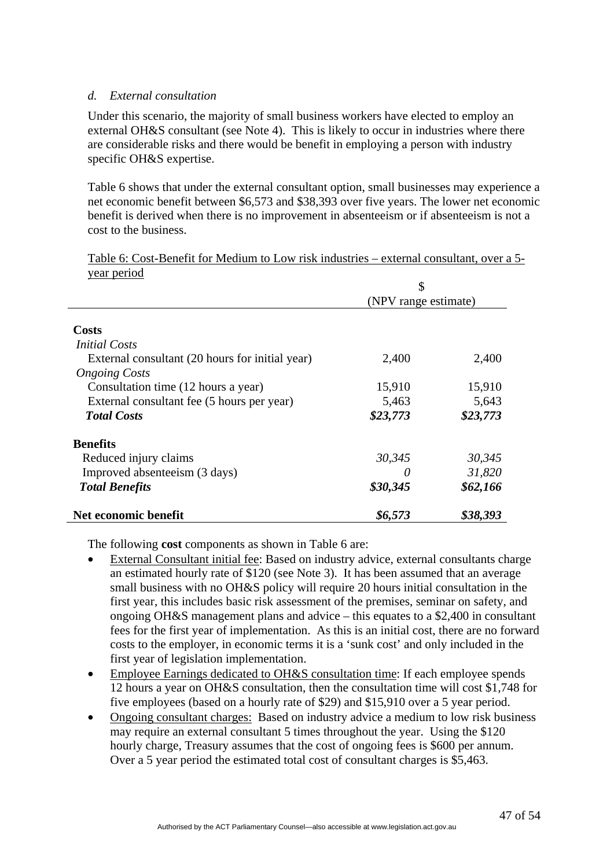#### *d. External consultation*

Under this scenario, the majority of small business workers have elected to employ an external OH&S consultant (see Note 4). This is likely to occur in industries where there are considerable risks and there would be benefit in employing a person with industry specific OH&S expertise.

Table 6 shows that under the external consultant option, small businesses may experience a net economic benefit between \$6,573 and \$38,393 over five years. The lower net economic benefit is derived when there is no improvement in absenteeism or if absenteeism is not a cost to the business.

| Table 6: Cost-Benefit for Medium to Low risk industries – external consultant, over a 5- |  |
|------------------------------------------------------------------------------------------|--|
| year period                                                                              |  |

|                                                 | \$<br>(NPV range estimate) |          |
|-------------------------------------------------|----------------------------|----------|
|                                                 |                            |          |
|                                                 |                            |          |
| Costs                                           |                            |          |
| <i>Initial Costs</i>                            |                            |          |
| External consultant (20 hours for initial year) | 2,400                      | 2,400    |
| <b>Ongoing Costs</b>                            |                            |          |
| Consultation time (12 hours a year)             | 15,910                     | 15,910   |
| External consultant fee (5 hours per year)      | 5,463                      | 5,643    |
| <b>Total Costs</b>                              | \$23,773                   | \$23,773 |
| <b>Benefits</b>                                 |                            |          |
| Reduced injury claims                           | 30,345                     | 30,345   |
| Improved absenteeism (3 days)                   |                            | 31,820   |
| <b>Total Benefits</b>                           | \$30,345                   | \$62,166 |
| Net economic benefit                            | \$6,573                    | \$38,393 |

The following **cost** components as shown in Table 6 are:

- External Consultant initial fee: Based on industry advice, external consultants charge an estimated hourly rate of \$120 (see Note 3). It has been assumed that an average small business with no OH&S policy will require 20 hours initial consultation in the first year, this includes basic risk assessment of the premises, seminar on safety, and ongoing OH&S management plans and advice – this equates to a \$2,400 in consultant fees for the first year of implementation. As this is an initial cost, there are no forward costs to the employer, in economic terms it is a 'sunk cost' and only included in the first year of legislation implementation.
- Employee Earnings dedicated to OH&S consultation time: If each employee spends 12 hours a year on OH&S consultation, then the consultation time will cost \$1,748 for five employees (based on a hourly rate of \$29) and \$15,910 over a 5 year period.
- Ongoing consultant charges: Based on industry advice a medium to low risk business may require an external consultant 5 times throughout the year. Using the \$120 hourly charge, Treasury assumes that the cost of ongoing fees is \$600 per annum. Over a 5 year period the estimated total cost of consultant charges is \$5,463.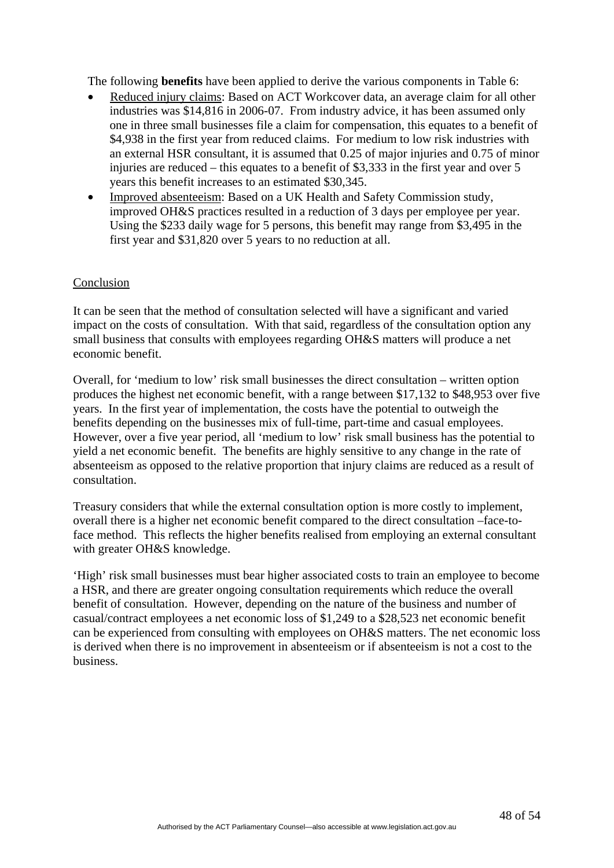The following **benefits** have been applied to derive the various components in Table 6:

- Reduced injury claims: Based on ACT Workcover data, an average claim for all other industries was \$14,816 in 2006-07. From industry advice, it has been assumed only one in three small businesses file a claim for compensation, this equates to a benefit of \$4,938 in the first year from reduced claims. For medium to low risk industries with an external HSR consultant, it is assumed that 0.25 of major injuries and 0.75 of minor injuries are reduced – this equates to a benefit of \$3,333 in the first year and over 5 years this benefit increases to an estimated \$30,345.
- Improved absenteeism: Based on a UK Health and Safety Commission study, improved OH&S practices resulted in a reduction of 3 days per employee per year. Using the \$233 daily wage for 5 persons, this benefit may range from \$3,495 in the first year and \$31,820 over 5 years to no reduction at all.

#### Conclusion

It can be seen that the method of consultation selected will have a significant and varied impact on the costs of consultation. With that said, regardless of the consultation option any small business that consults with employees regarding OH&S matters will produce a net economic benefit.

Overall, for 'medium to low' risk small businesses the direct consultation – written option produces the highest net economic benefit, with a range between \$17,132 to \$48,953 over five years. In the first year of implementation, the costs have the potential to outweigh the benefits depending on the businesses mix of full-time, part-time and casual employees. However, over a five year period, all 'medium to low' risk small business has the potential to yield a net economic benefit. The benefits are highly sensitive to any change in the rate of absenteeism as opposed to the relative proportion that injury claims are reduced as a result of consultation.

Treasury considers that while the external consultation option is more costly to implement, overall there is a higher net economic benefit compared to the direct consultation –face-toface method. This reflects the higher benefits realised from employing an external consultant with greater OH&S knowledge.

'High' risk small businesses must bear higher associated costs to train an employee to become a HSR, and there are greater ongoing consultation requirements which reduce the overall benefit of consultation. However, depending on the nature of the business and number of casual/contract employees a net economic loss of \$1,249 to a \$28,523 net economic benefit can be experienced from consulting with employees on OH&S matters. The net economic loss is derived when there is no improvement in absenteeism or if absenteeism is not a cost to the business.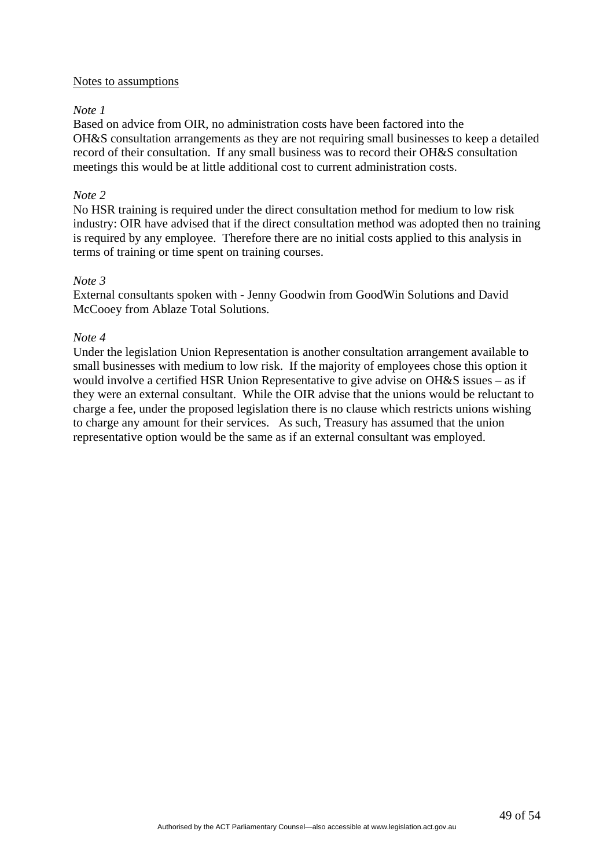#### Notes to assumptions

#### *Note 1*

Based on advice from OIR, no administration costs have been factored into the OH&S consultation arrangements as they are not requiring small businesses to keep a detailed record of their consultation. If any small business was to record their OH&S consultation meetings this would be at little additional cost to current administration costs.

#### *Note 2*

No HSR training is required under the direct consultation method for medium to low risk industry: OIR have advised that if the direct consultation method was adopted then no training is required by any employee. Therefore there are no initial costs applied to this analysis in terms of training or time spent on training courses.

#### *Note 3*

External consultants spoken with - Jenny Goodwin from GoodWin Solutions and David McCooey from Ablaze Total Solutions.

#### *Note 4*

Under the legislation Union Representation is another consultation arrangement available to small businesses with medium to low risk. If the majority of employees chose this option it would involve a certified HSR Union Representative to give advise on OH&S issues – as if they were an external consultant. While the OIR advise that the unions would be reluctant to charge a fee, under the proposed legislation there is no clause which restricts unions wishing to charge any amount for their services. As such, Treasury has assumed that the union representative option would be the same as if an external consultant was employed.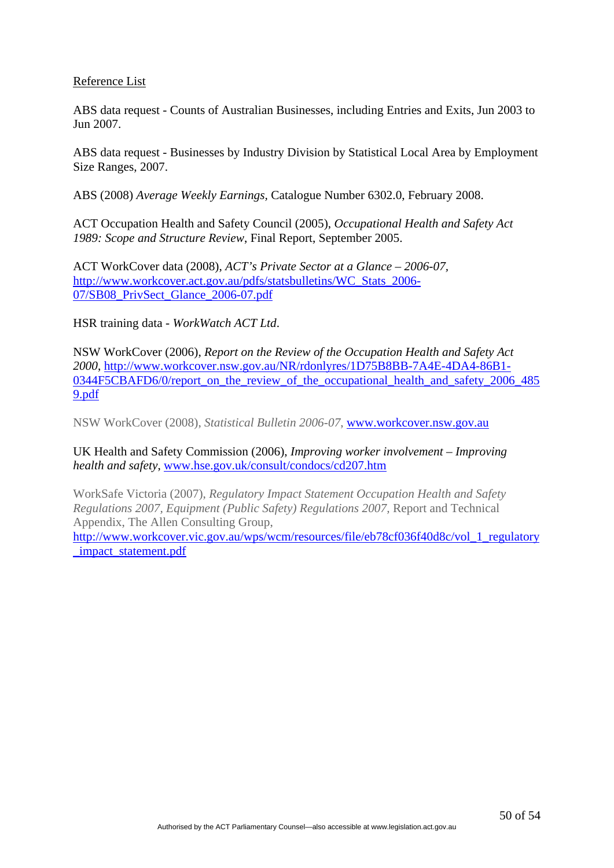#### Reference List

ABS data request - Counts of Australian Businesses, including Entries and Exits, Jun 2003 to Jun 2007.

ABS data request - Businesses by Industry Division by Statistical Local Area by Employment Size Ranges, 2007.

ABS (2008) *Average Weekly Earnings,* Catalogue Number 6302.0, February 2008.

ACT Occupation Health and Safety Council (2005), *Occupational Health and Safety Act 1989: Scope and Structure Review*, Final Report, September 2005.

ACT WorkCover data (2008), *ACT's Private Sector at a Glance – 2006-07,* [http://www.workcover.act.gov.au/pdfs/statsbulletins/WC\\_Stats\\_2006-](http://www.workcover.act.gov.au/pdfs/statsbulletins/WC_Stats_2006-07/SB08_PrivSect_Glance_2006-07.pdf) [07/SB08\\_PrivSect\\_Glance\\_2006-07.pdf](http://www.workcover.act.gov.au/pdfs/statsbulletins/WC_Stats_2006-07/SB08_PrivSect_Glance_2006-07.pdf)

HSR training data - *WorkWatch ACT Ltd*.

NSW WorkCover (2006), *Report on the Review of the Occupation Health and Safety Act 2000*, [http://www.workcover.nsw.gov.au/NR/rdonlyres/1D75B8BB-7A4E-4DA4-86B1-](http://www.workcover.nsw.gov.au/NR/rdonlyres/1D75B8BB-7A4E-4DA4-86B1-0344F5CBAFD6/0/report_on_the_review_of_the_occupational_health_and_safety_2006_4859.pdf) 0344F5CBAFD6/0/report on the review of the occupational health and safety 2006 485 [9.pdf](http://www.workcover.nsw.gov.au/NR/rdonlyres/1D75B8BB-7A4E-4DA4-86B1-0344F5CBAFD6/0/report_on_the_review_of_the_occupational_health_and_safety_2006_4859.pdf)

NSW WorkCover (2008), *Statistical Bulletin 2006-07*, [www.workcover.nsw.gov.au](http://www.workcover.nsw.gov.au/)

UK Health and Safety Commission (2006), *Improving worker involvement – Improving health and safety*, [www.hse.gov.uk/consult/condocs/cd207.htm](http://www.hse.gov.uk/consult/condocs/cd207.htm)

WorkSafe Victoria (2007), *Regulatory Impact Statement Occupation Health and Safety Regulations 2007, Equipment (Public Safety) Regulations 2007,* Report and Technical Appendix, The Allen Consulting Group,

[http://www.workcover.vic.gov.au/wps/wcm/resources/file/eb78cf036f40d8c/vol\\_1\\_regulatory](http://www.workcover.vic.gov.au/wps/wcm/resources/file/eb78cf036f40d8c/vol_1_regulatory_impact_statement.pdf) [\\_impact\\_statement.pdf](http://www.workcover.vic.gov.au/wps/wcm/resources/file/eb78cf036f40d8c/vol_1_regulatory_impact_statement.pdf)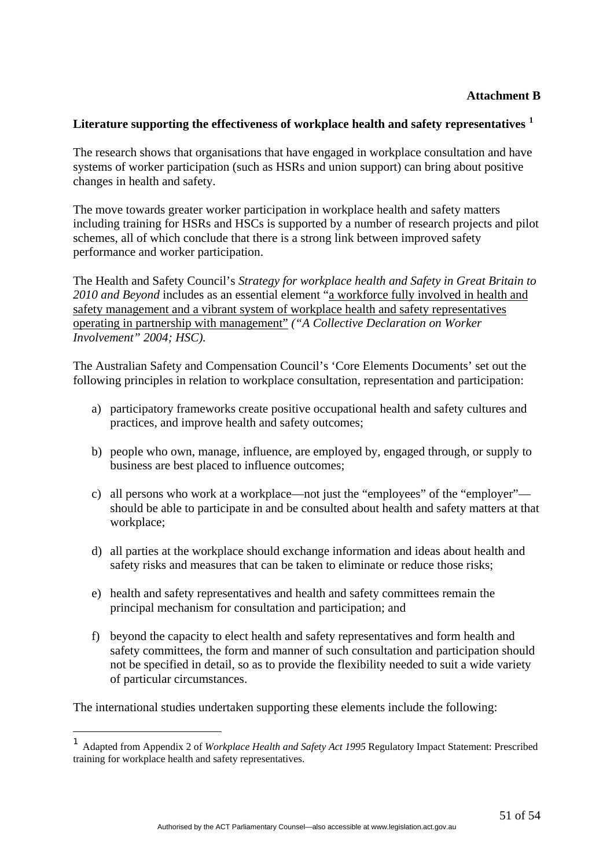#### **Attachment B**

#### **Literature supporting the effectiveness of workplace health and safety representatives [1](#page-50-0)**

The research shows that organisations that have engaged in workplace consultation and have systems of worker participation (such as HSRs and union support) can bring about positive changes in health and safety.

The move towards greater worker participation in workplace health and safety matters including training for HSRs and HSCs is supported by a number of research projects and pilot schemes, all of which conclude that there is a strong link between improved safety performance and worker participation.

The Health and Safety Council's *Strategy for workplace health and Safety in Great Britain to 2010 and Beyond* includes as an essential element "a workforce fully involved in health and safety management and a vibrant system of workplace health and safety representatives operating in partnership with management" *("A Collective Declaration on Worker Involvement" 2004; HSC).* 

The Australian Safety and Compensation Council's 'Core Elements Documents' set out the following principles in relation to workplace consultation, representation and participation:

- a) participatory frameworks create positive occupational health and safety cultures and practices, and improve health and safety outcomes;
- b) people who own, manage, influence, are employed by, engaged through, or supply to business are best placed to influence outcomes;
- c) all persons who work at a workplace—not just the "employees" of the "employer" should be able to participate in and be consulted about health and safety matters at that workplace;
- d) all parties at the workplace should exchange information and ideas about health and safety risks and measures that can be taken to eliminate or reduce those risks;
- e) health and safety representatives and health and safety committees remain the principal mechanism for consultation and participation; and
- f) beyond the capacity to elect health and safety representatives and form health and safety committees, the form and manner of such consultation and participation should not be specified in detail, so as to provide the flexibility needed to suit a wide variety of particular circumstances.

The international studies undertaken supporting these elements include the following:

1

<span id="page-50-0"></span><sup>1</sup> Adapted from Appendix 2 of *Workplace Health and Safety Act 1995* Regulatory Impact Statement: Prescribed training for workplace health and safety representatives.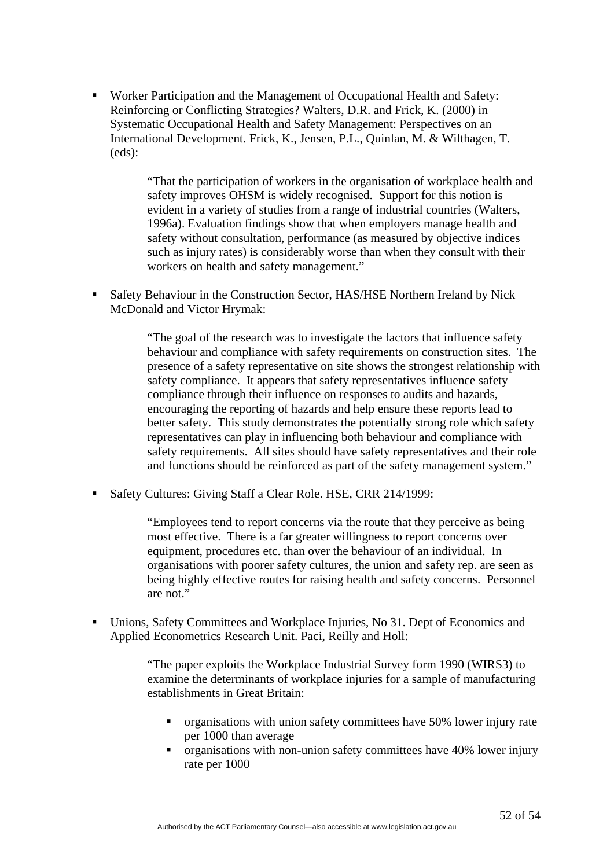Worker Participation and the Management of Occupational Health and Safety: Reinforcing or Conflicting Strategies? Walters, D.R. and Frick, K. (2000) in Systematic Occupational Health and Safety Management: Perspectives on an International Development. Frick, K., Jensen, P.L., Quinlan, M. & Wilthagen, T. (eds):

> "That the participation of workers in the organisation of workplace health and safety improves OHSM is widely recognised. Support for this notion is evident in a variety of studies from a range of industrial countries (Walters, 1996a). Evaluation findings show that when employers manage health and safety without consultation, performance (as measured by objective indices such as injury rates) is considerably worse than when they consult with their workers on health and safety management."

 Safety Behaviour in the Construction Sector, HAS/HSE Northern Ireland by Nick McDonald and Victor Hrymak:

> "The goal of the research was to investigate the factors that influence safety behaviour and compliance with safety requirements on construction sites. The presence of a safety representative on site shows the strongest relationship with safety compliance. It appears that safety representatives influence safety compliance through their influence on responses to audits and hazards, encouraging the reporting of hazards and help ensure these reports lead to better safety. This study demonstrates the potentially strong role which safety representatives can play in influencing both behaviour and compliance with safety requirements. All sites should have safety representatives and their role and functions should be reinforced as part of the safety management system."

Safety Cultures: Giving Staff a Clear Role. HSE, CRR 214/1999:

"Employees tend to report concerns via the route that they perceive as being most effective. There is a far greater willingness to report concerns over equipment, procedures etc. than over the behaviour of an individual. In organisations with poorer safety cultures, the union and safety rep. are seen as being highly effective routes for raising health and safety concerns. Personnel are not."

 Unions, Safety Committees and Workplace Injuries, No 31. Dept of Economics and Applied Econometrics Research Unit. Paci, Reilly and Holl:

> "The paper exploits the Workplace Industrial Survey form 1990 (WIRS3) to examine the determinants of workplace injuries for a sample of manufacturing establishments in Great Britain:

- organisations with union safety committees have 50% lower injury rate per 1000 than average
- $\blacksquare$  organisations with non-union safety committees have 40% lower injury rate per 1000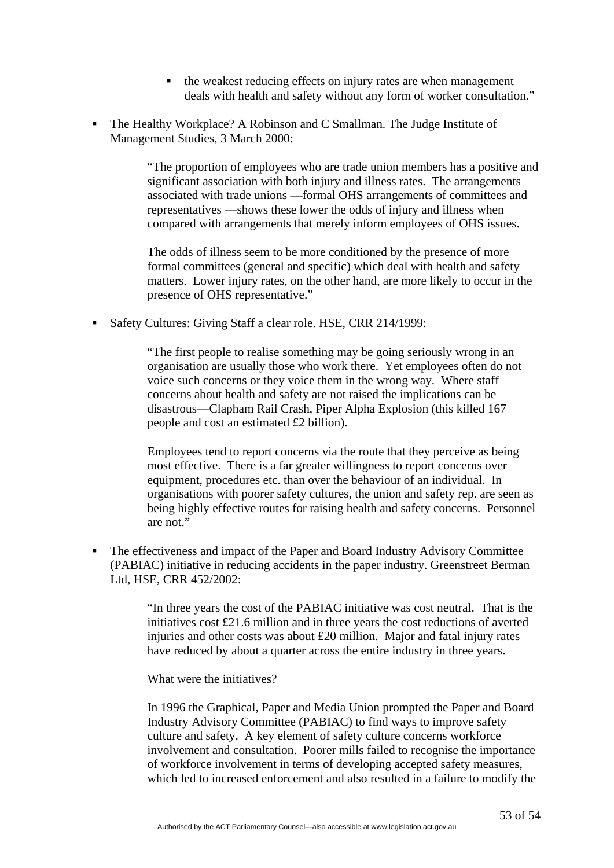- $\blacksquare$  the weakest reducing effects on injury rates are when management deals with health and safety without any form of worker consultation."
- The Healthy Workplace? A Robinson and C Smallman. The Judge Institute of Management Studies, 3 March 2000:

"The proportion of employees who are trade union members has a positive and significant association with both injury and illness rates. The arrangements associated with trade unions —formal OHS arrangements of committees and representatives —shows these lower the odds of injury and illness when compared with arrangements that merely inform employees of OHS issues.

The odds of illness seem to be more conditioned by the presence of more formal committees (general and specific) which deal with health and safety matters. Lower injury rates, on the other hand, are more likely to occur in the presence of OHS representative."

Safety Cultures: Giving Staff a clear role. HSE, CRR 214/1999:

"The first people to realise something may be going seriously wrong in an organisation are usually those who work there. Yet employees often do not voice such concerns or they voice them in the wrong way. Where staff concerns about health and safety are not raised the implications can be disastrous—Clapham Rail Crash, Piper Alpha Explosion (this killed 167 people and cost an estimated £2 billion).

Employees tend to report concerns via the route that they perceive as being most effective. There is a far greater willingness to report concerns over equipment, procedures etc. than over the behaviour of an individual. In organisations with poorer safety cultures, the union and safety rep. are seen as being highly effective routes for raising health and safety concerns. Personnel are not."

The effectiveness and impact of the Paper and Board Industry Advisory Committee (PABIAC) initiative in reducing accidents in the paper industry. Greenstreet Berman Ltd, HSE, CRR 452/2002:

> "In three years the cost of the PABIAC initiative was cost neutral. That is the initiatives cost  $\text{\pounds}21.6$  million and in three years the cost reductions of averted injuries and other costs was about £20 million. Major and fatal injury rates have reduced by about a quarter across the entire industry in three years.

What were the initiatives?

In 1996 the Graphical, Paper and Media Union prompted the Paper and Board Industry Advisory Committee (PABIAC) to find ways to improve safety culture and safety. A key element of safety culture concerns workforce involvement and consultation. Poorer mills failed to recognise the importance of workforce involvement in terms of developing accepted safety measures, which led to increased enforcement and also resulted in a failure to modify the